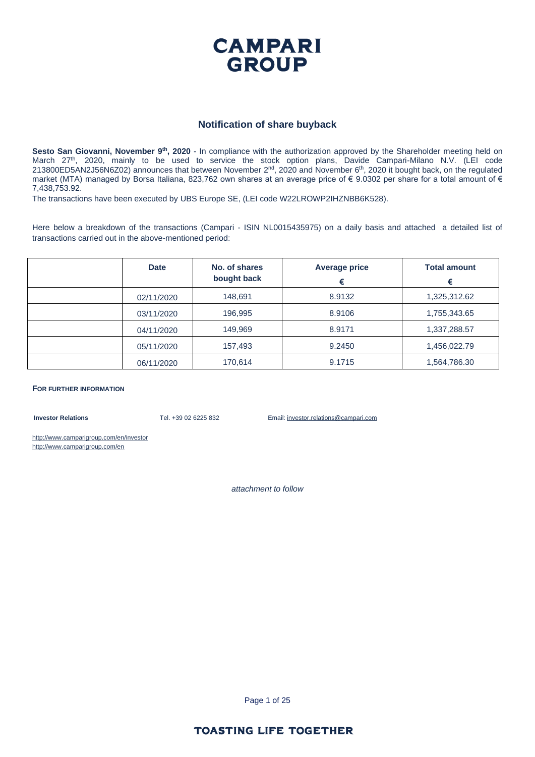

#### **Notification of share buyback**

Sesto San Giovanni, November 9<sup>th</sup>, 2020 - In compliance with the authorization approved by the Shareholder meeting held on March 27<sup>th</sup>, 2020, mainly to be used to service the stock option plans, Davide Campari-Milano N.V. (LEI code 213800ED5AN2J56N6Z02) announces that between November  $2^{nd}$ , 2020 and November  $6^{th}$ , 2020 it bought back, on the regulated market (MTA) managed by Borsa Italiana, 823,762 own shares at an average price of € 9.0302 per share for a total amount of € 7,438,753.92.

The transactions have been executed by UBS Europe SE, (LEI code W22LROWP2IHZNBB6K528).

Here below a breakdown of the transactions (Campari - ISIN NL0015435975) on a daily basis and attached a detailed list of transactions carried out in the above-mentioned period:

| <b>Date</b> | No. of shares<br>bought back | <b>Average price</b><br>€ | <b>Total amount</b><br>€ |
|-------------|------------------------------|---------------------------|--------------------------|
| 02/11/2020  | 148,691                      | 8.9132                    | 1,325,312.62             |
| 03/11/2020  | 196,995                      | 8.9106                    | 1,755,343.65             |
| 04/11/2020  | 149,969                      | 8.9171                    | 1,337,288.57             |
| 05/11/2020  | 157,493                      | 9.2450                    | 1,456,022.79             |
| 06/11/2020  | 170,614                      | 9.1715                    | 1,564,786.30             |

**FOR FURTHER INFORMATION**

**Investor Relations** Tel. +39 02 6225 832 Email: investor.relations@campari.com

http://www.camparigroup.com/en/investor http://www.camparigroup.com/en

*attachment to follow*

Page 1 of 25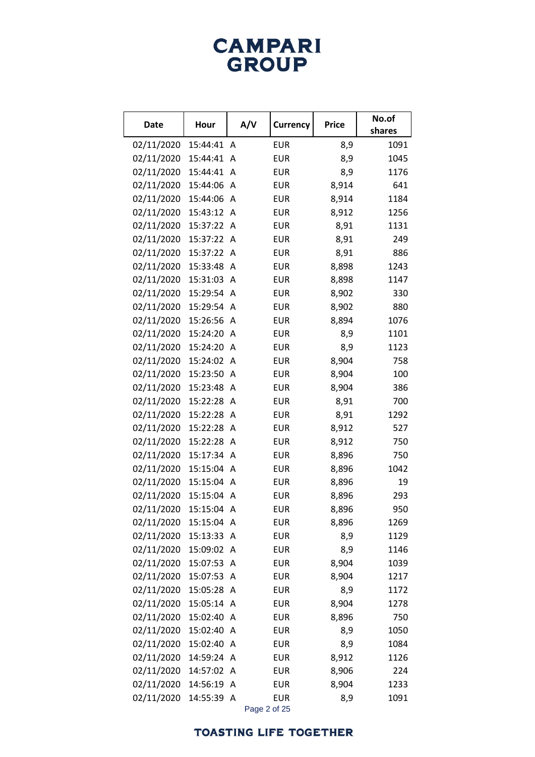# **CAMPARI**<br>GROUP

| Date       | Hour       |              | A/V<br><b>Currency</b> | <b>Price</b> | No.of<br>shares |
|------------|------------|--------------|------------------------|--------------|-----------------|
| 02/11/2020 | 15:44:41   | A            | <b>EUR</b>             | 8,9          | 1091            |
| 02/11/2020 | 15:44:41   | A            | <b>EUR</b>             | 8,9          | 1045            |
| 02/11/2020 | 15:44:41   | A            | <b>EUR</b>             | 8,9          | 1176            |
| 02/11/2020 | 15:44:06   | A            | <b>EUR</b>             | 8,914        | 641             |
| 02/11/2020 | 15:44:06   | A            | <b>EUR</b>             | 8,914        | 1184            |
| 02/11/2020 | 15:43:12 A |              | <b>EUR</b>             | 8,912        | 1256            |
| 02/11/2020 | 15:37:22 A |              | <b>EUR</b>             | 8,91         | 1131            |
| 02/11/2020 | 15:37:22 A |              | <b>EUR</b>             | 8,91         | 249             |
| 02/11/2020 | 15:37:22 A |              | <b>EUR</b>             | 8,91         | 886             |
| 02/11/2020 | 15:33:48 A |              | <b>EUR</b>             | 8,898        | 1243            |
| 02/11/2020 | 15:31:03   | A            | <b>EUR</b>             | 8,898        | 1147            |
| 02/11/2020 | 15:29:54 A |              | <b>EUR</b>             | 8,902        | 330             |
| 02/11/2020 | 15:29:54 A |              | <b>EUR</b>             | 8,902        | 880             |
| 02/11/2020 | 15:26:56 A |              | <b>EUR</b>             | 8,894        | 1076            |
| 02/11/2020 | 15:24:20   | A            | <b>EUR</b>             | 8,9          | 1101            |
| 02/11/2020 | 15:24:20 A |              | <b>EUR</b>             | 8,9          | 1123            |
| 02/11/2020 | 15:24:02 A |              | <b>EUR</b>             | 8,904        | 758             |
| 02/11/2020 | 15:23:50 A |              | <b>EUR</b>             | 8,904        | 100             |
| 02/11/2020 | 15:23:48   | A            | <b>EUR</b>             | 8,904        | 386             |
| 02/11/2020 | 15:22:28 A |              | <b>EUR</b>             | 8,91         | 700             |
| 02/11/2020 | 15:22:28   | A            | <b>EUR</b>             | 8,91         | 1292            |
| 02/11/2020 | 15:22:28 A |              | <b>EUR</b>             | 8,912        | 527             |
| 02/11/2020 | 15:22:28 A |              | <b>EUR</b>             | 8,912        | 750             |
| 02/11/2020 | 15:17:34 A |              | <b>EUR</b>             | 8,896        | 750             |
| 02/11/2020 | 15:15:04 A |              | <b>EUR</b>             | 8,896        | 1042            |
| 02/11/2020 | 15:15:04 A |              | <b>EUR</b>             | 8,896        | 19              |
| 02/11/2020 | 15:15:04   | A            | <b>EUR</b>             | 8,896        | 293             |
| 02/11/2020 | 15:15:04   | A            | <b>EUR</b>             | 8,896        | 950             |
| 02/11/2020 | 15:15:04 A |              | <b>EUR</b>             | 8,896        | 1269            |
| 02/11/2020 | 15:13:33   | $\mathsf{A}$ | <b>EUR</b>             | 8,9          | 1129            |
| 02/11/2020 | 15:09:02   | A            | <b>EUR</b>             | 8,9          | 1146            |
| 02/11/2020 | 15:07:53   | A            | <b>EUR</b>             | 8,904        | 1039            |
| 02/11/2020 | 15:07:53   | A            | <b>EUR</b>             | 8,904        | 1217            |
| 02/11/2020 | 15:05:28   | A            | <b>EUR</b>             | 8,9          | 1172            |
| 02/11/2020 | 15:05:14   | A            | <b>EUR</b>             | 8,904        | 1278            |
| 02/11/2020 | 15:02:40   | A            | <b>EUR</b>             | 8,896        | 750             |
| 02/11/2020 | 15:02:40   | A            | <b>EUR</b>             | 8,9          | 1050            |
| 02/11/2020 | 15:02:40   | A            | <b>EUR</b>             | 8,9          | 1084            |
| 02/11/2020 | 14:59:24   | A            | <b>EUR</b>             | 8,912        | 1126            |
| 02/11/2020 | 14:57:02   | A            | <b>EUR</b>             | 8,906        | 224             |
| 02/11/2020 | 14:56:19   | A            | <b>EUR</b>             | 8,904        | 1233            |
| 02/11/2020 | 14:55:39   | A            | <b>EUR</b>             | 8,9          | 1091            |

Page 2 of 25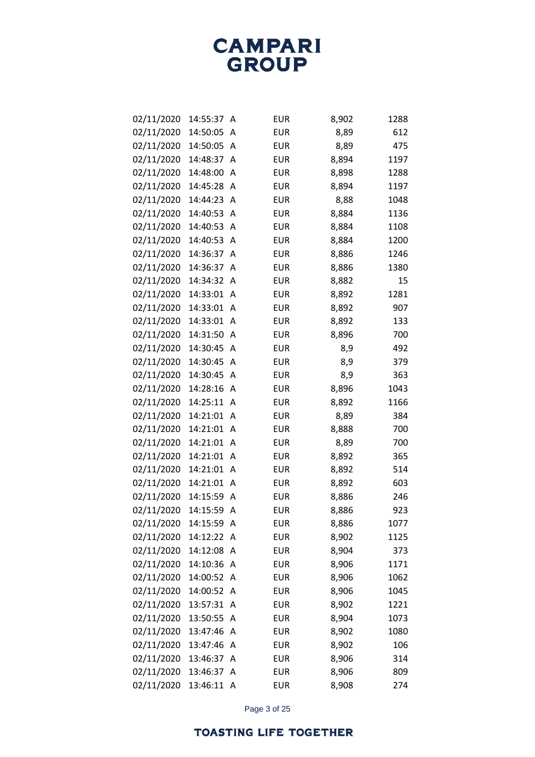| 02/11/2020 | 14:55:37   | Α | <b>EUR</b> | 8,902 | 1288 |
|------------|------------|---|------------|-------|------|
| 02/11/2020 | 14:50:05   | Α | <b>EUR</b> | 8,89  | 612  |
| 02/11/2020 | 14:50:05   | A | <b>EUR</b> | 8,89  | 475  |
| 02/11/2020 | 14:48:37   | A | <b>EUR</b> | 8,894 | 1197 |
| 02/11/2020 | 14:48:00   | A | <b>EUR</b> | 8,898 | 1288 |
| 02/11/2020 | 14:45:28   | Α | <b>EUR</b> | 8,894 | 1197 |
| 02/11/2020 | 14:44:23   | A | <b>EUR</b> | 8,88  | 1048 |
| 02/11/2020 | 14:40:53   | Α | <b>EUR</b> | 8,884 | 1136 |
| 02/11/2020 | 14:40:53   | Α | <b>EUR</b> | 8,884 | 1108 |
| 02/11/2020 | 14:40:53   | Α | <b>EUR</b> | 8,884 | 1200 |
| 02/11/2020 | 14:36:37   | A | <b>EUR</b> | 8,886 | 1246 |
| 02/11/2020 | 14:36:37   | A | <b>EUR</b> | 8,886 | 1380 |
| 02/11/2020 | 14:34:32   | A | <b>EUR</b> | 8,882 | 15   |
| 02/11/2020 | 14:33:01   | Α | <b>EUR</b> | 8,892 | 1281 |
| 02/11/2020 | 14:33:01   | A | <b>EUR</b> | 8,892 | 907  |
| 02/11/2020 | 14:33:01   | Α | <b>EUR</b> | 8,892 | 133  |
| 02/11/2020 | 14:31:50   | A | <b>EUR</b> | 8,896 | 700  |
| 02/11/2020 | 14:30:45   | Α | <b>EUR</b> | 8,9   | 492  |
| 02/11/2020 | 14:30:45   | A | <b>EUR</b> | 8,9   | 379  |
| 02/11/2020 | 14:30:45   | Α | <b>EUR</b> | 8,9   | 363  |
| 02/11/2020 | 14:28:16   | A | <b>EUR</b> | 8,896 | 1043 |
| 02/11/2020 | 14:25:11   | Α | <b>EUR</b> | 8,892 | 1166 |
| 02/11/2020 | 14:21:01   | A | <b>EUR</b> | 8,89  | 384  |
| 02/11/2020 | 14:21:01   | A | <b>EUR</b> | 8,888 | 700  |
| 02/11/2020 | 14:21:01   | A | <b>EUR</b> | 8,89  | 700  |
| 02/11/2020 | 14:21:01   | Α | <b>EUR</b> | 8,892 | 365  |
| 02/11/2020 | 14:21:01   | A | <b>EUR</b> | 8,892 | 514  |
| 02/11/2020 | 14:21:01   | Α | <b>EUR</b> | 8,892 | 603  |
| 02/11/2020 | 14:15:59   | A | <b>EUR</b> | 8,886 | 246  |
| 02/11/2020 | 14:15:59   | Α | <b>EUR</b> | 8,886 | 923  |
| 02/11/2020 | 14:15:59   | Α | <b>EUR</b> | 8,886 | 1077 |
| 02/11/2020 | 14:12:22   | Α | <b>EUR</b> | 8,902 | 1125 |
| 02/11/2020 | 14:12:08   | Α | <b>EUR</b> | 8,904 | 373  |
| 02/11/2020 | 14:10:36   | Α | <b>EUR</b> | 8,906 | 1171 |
| 02/11/2020 | 14:00:52   | Α | <b>EUR</b> | 8,906 | 1062 |
| 02/11/2020 | 14:00:52   | Α | EUR        | 8,906 | 1045 |
| 02/11/2020 | 13:57:31   | Α | <b>EUR</b> | 8,902 | 1221 |
| 02/11/2020 | 13:50:55   | Α | <b>EUR</b> | 8,904 | 1073 |
| 02/11/2020 | 13:47:46   | Α | <b>EUR</b> | 8,902 | 1080 |
| 02/11/2020 | 13:47:46   | A | EUR        | 8,902 | 106  |
| 02/11/2020 | 13:46:37   | Α | <b>EUR</b> | 8,906 | 314  |
| 02/11/2020 | 13:46:37   | Α | <b>EUR</b> | 8,906 | 809  |
| 02/11/2020 | 13:46:11 A |   | EUR        | 8,908 | 274  |

Page 3 of 25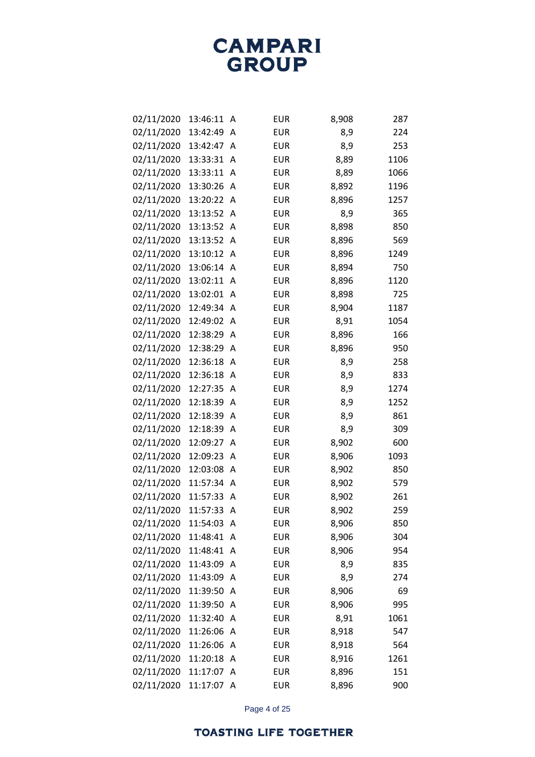| 02/11/2020 | 13:46:11   | Α | <b>EUR</b> | 8,908 | 287  |
|------------|------------|---|------------|-------|------|
| 02/11/2020 | 13:42:49   | Α | <b>EUR</b> | 8,9   | 224  |
| 02/11/2020 | 13:42:47   | Α | <b>EUR</b> | 8,9   | 253  |
| 02/11/2020 | 13:33:31   | Α | <b>EUR</b> | 8,89  | 1106 |
| 02/11/2020 | 13:33:11   | Α | <b>EUR</b> | 8,89  | 1066 |
| 02/11/2020 | 13:30:26   | Α | <b>EUR</b> | 8,892 | 1196 |
| 02/11/2020 | 13:20:22   | Α | <b>EUR</b> | 8,896 | 1257 |
| 02/11/2020 | 13:13:52   | Α | <b>EUR</b> | 8,9   | 365  |
| 02/11/2020 | 13:13:52   | Α | <b>EUR</b> | 8,898 | 850  |
| 02/11/2020 | 13:13:52   | Α | <b>EUR</b> | 8,896 | 569  |
| 02/11/2020 | 13:10:12   | Α | <b>EUR</b> | 8,896 | 1249 |
| 02/11/2020 | 13:06:14   | Α | <b>EUR</b> | 8,894 | 750  |
| 02/11/2020 | 13:02:11   | Α | <b>EUR</b> | 8,896 | 1120 |
| 02/11/2020 | 13:02:01   | Α | <b>EUR</b> | 8,898 | 725  |
| 02/11/2020 | 12:49:34   | Α | <b>EUR</b> | 8,904 | 1187 |
| 02/11/2020 | 12:49:02   | Α | <b>EUR</b> | 8,91  | 1054 |
| 02/11/2020 | 12:38:29   | A | <b>EUR</b> | 8,896 | 166  |
| 02/11/2020 | 12:38:29   | A | <b>EUR</b> | 8,896 | 950  |
| 02/11/2020 | 12:36:18   | Α | <b>EUR</b> | 8,9   | 258  |
| 02/11/2020 | 12:36:18   | Α | <b>EUR</b> | 8,9   | 833  |
| 02/11/2020 | 12:27:35   | Α | <b>EUR</b> | 8,9   | 1274 |
| 02/11/2020 | 12:18:39   | A | <b>EUR</b> | 8,9   | 1252 |
| 02/11/2020 | 12:18:39   | Α | <b>EUR</b> | 8,9   | 861  |
| 02/11/2020 | 12:18:39   | Α | <b>EUR</b> | 8,9   | 309  |
| 02/11/2020 | 12:09:27   | Α | <b>EUR</b> | 8,902 | 600  |
| 02/11/2020 | 12:09:23   | Α | <b>EUR</b> | 8,906 | 1093 |
| 02/11/2020 | 12:03:08   | Α | <b>EUR</b> | 8,902 | 850  |
| 02/11/2020 | 11:57:34   | Α | <b>EUR</b> | 8,902 | 579  |
| 02/11/2020 | 11:57:33   | Α | <b>EUR</b> | 8,902 | 261  |
| 02/11/2020 | 11:57:33   | Α | <b>EUR</b> | 8,902 | 259  |
| 02/11/2020 | 11:54:03   | A | <b>EUR</b> | 8,906 | 850  |
| 02/11/2020 | 11:48:41   | Α | <b>EUR</b> | 8,906 | 304  |
| 02/11/2020 | 11:48:41   | Α | <b>EUR</b> | 8,906 | 954  |
| 02/11/2020 | 11:43:09   | Α | <b>EUR</b> | 8,9   | 835  |
| 02/11/2020 | 11:43:09   | Α | <b>EUR</b> | 8,9   | 274  |
| 02/11/2020 | 11:39:50   | Α | <b>EUR</b> | 8,906 | 69   |
| 02/11/2020 | 11:39:50   | Α | <b>EUR</b> | 8,906 | 995  |
| 02/11/2020 | 11:32:40   | Α | <b>EUR</b> | 8,91  | 1061 |
| 02/11/2020 | 11:26:06   | Α | <b>EUR</b> | 8,918 | 547  |
| 02/11/2020 | 11:26:06   | Α | <b>EUR</b> | 8,918 | 564  |
| 02/11/2020 | 11:20:18   | Α | <b>EUR</b> | 8,916 | 1261 |
| 02/11/2020 | 11:17:07   | Α | <b>EUR</b> | 8,896 | 151  |
| 02/11/2020 | 11:17:07 A |   | EUR        | 8,896 | 900  |

Page 4 of 25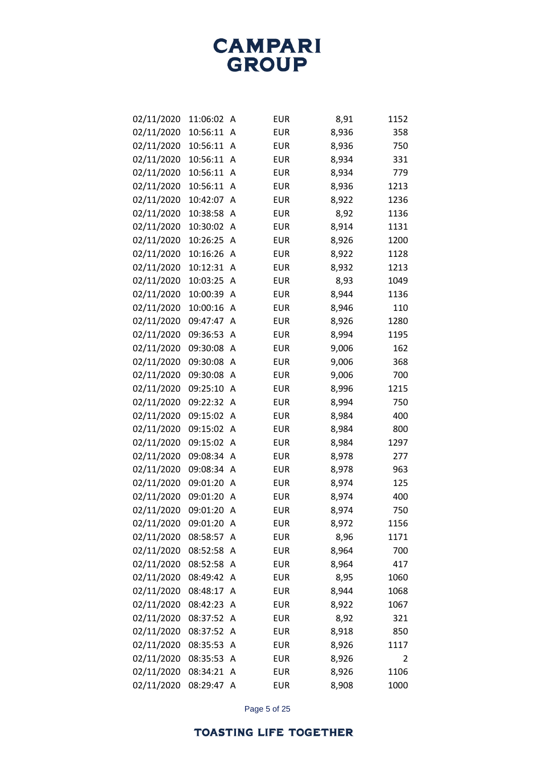| 02/11/2020 | 11:06:02 | Α | <b>EUR</b> | 8,91  | 1152 |
|------------|----------|---|------------|-------|------|
| 02/11/2020 | 10:56:11 | A | <b>EUR</b> | 8,936 | 358  |
| 02/11/2020 | 10:56:11 | A | <b>EUR</b> | 8,936 | 750  |
| 02/11/2020 | 10:56:11 | Α | <b>EUR</b> | 8,934 | 331  |
| 02/11/2020 | 10:56:11 | A | <b>EUR</b> | 8,934 | 779  |
| 02/11/2020 | 10:56:11 | Α | <b>EUR</b> | 8,936 | 1213 |
| 02/11/2020 | 10:42:07 | A | <b>EUR</b> | 8,922 | 1236 |
| 02/11/2020 | 10:38:58 | Α | <b>EUR</b> | 8,92  | 1136 |
| 02/11/2020 | 10:30:02 | Α | <b>EUR</b> | 8,914 | 1131 |
| 02/11/2020 | 10:26:25 | Α | <b>EUR</b> | 8,926 | 1200 |
| 02/11/2020 | 10:16:26 | A | <b>EUR</b> | 8,922 | 1128 |
| 02/11/2020 | 10:12:31 | Α | <b>EUR</b> | 8,932 | 1213 |
| 02/11/2020 | 10:03:25 | Α | <b>EUR</b> | 8,93  | 1049 |
| 02/11/2020 | 10:00:39 | Α | <b>EUR</b> | 8,944 | 1136 |
| 02/11/2020 | 10:00:16 | A | <b>EUR</b> | 8,946 | 110  |
| 02/11/2020 | 09:47:47 | Α | <b>EUR</b> | 8,926 | 1280 |
| 02/11/2020 | 09:36:53 | Α | <b>EUR</b> | 8,994 | 1195 |
| 02/11/2020 | 09:30:08 | Α | <b>EUR</b> | 9,006 | 162  |
| 02/11/2020 | 09:30:08 | Α | <b>EUR</b> | 9,006 | 368  |
| 02/11/2020 | 09:30:08 | Α | <b>EUR</b> | 9,006 | 700  |
| 02/11/2020 | 09:25:10 | A | <b>EUR</b> | 8,996 | 1215 |
| 02/11/2020 | 09:22:32 | Α | <b>EUR</b> | 8,994 | 750  |
| 02/11/2020 | 09:15:02 | Α | <b>EUR</b> | 8,984 | 400  |
| 02/11/2020 | 09:15:02 | Α | <b>EUR</b> | 8,984 | 800  |
| 02/11/2020 | 09:15:02 | Α | <b>EUR</b> | 8,984 | 1297 |
| 02/11/2020 | 09:08:34 | Α | <b>EUR</b> | 8,978 | 277  |
| 02/11/2020 | 09:08:34 | Α | <b>EUR</b> | 8,978 | 963  |
| 02/11/2020 | 09:01:20 | Α | <b>EUR</b> | 8,974 | 125  |
| 02/11/2020 | 09:01:20 | A | <b>EUR</b> | 8,974 | 400  |
| 02/11/2020 | 09:01:20 | A | <b>EUR</b> | 8,974 | 750  |
| 02/11/2020 | 09:01:20 | A | <b>EUR</b> | 8,972 | 1156 |
| 02/11/2020 | 08:58:57 | Α | <b>EUR</b> | 8,96  | 1171 |
| 02/11/2020 | 08:52:58 | Α | <b>EUR</b> | 8,964 | 700  |
| 02/11/2020 | 08:52:58 | Α | <b>EUR</b> | 8,964 | 417  |
| 02/11/2020 | 08:49:42 | Α | <b>EUR</b> | 8,95  | 1060 |
| 02/11/2020 | 08:48:17 | A | <b>EUR</b> | 8,944 | 1068 |
| 02/11/2020 | 08:42:23 | Α | <b>EUR</b> | 8,922 | 1067 |
| 02/11/2020 | 08:37:52 | Α | <b>EUR</b> | 8,92  | 321  |
| 02/11/2020 | 08:37:52 | Α | <b>EUR</b> | 8,918 | 850  |
| 02/11/2020 | 08:35:53 | Α | <b>EUR</b> | 8,926 | 1117 |
| 02/11/2020 | 08:35:53 | Α | <b>EUR</b> | 8,926 | 2    |
| 02/11/2020 | 08:34:21 | Α | <b>EUR</b> | 8,926 | 1106 |
| 02/11/2020 | 08:29:47 | A | <b>EUR</b> | 8,908 | 1000 |

Page 5 of 25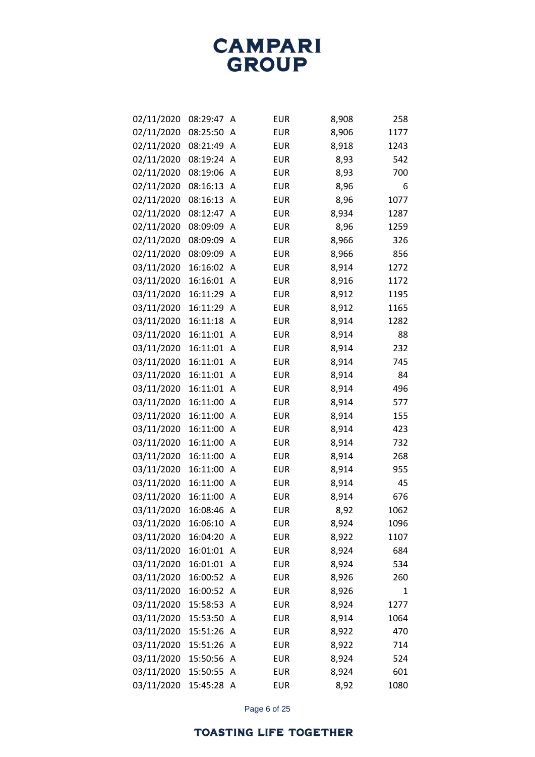| 02/11/2020 | 08:29:47   | Α | <b>EUR</b> | 8,908 | 258  |
|------------|------------|---|------------|-------|------|
| 02/11/2020 | 08:25:50   | Α | <b>EUR</b> | 8,906 | 1177 |
| 02/11/2020 | 08:21:49   | Α | <b>EUR</b> | 8,918 | 1243 |
| 02/11/2020 | 08:19:24   | Α | <b>EUR</b> | 8,93  | 542  |
| 02/11/2020 | 08:19:06   | Α | <b>EUR</b> | 8,93  | 700  |
| 02/11/2020 | 08:16:13   | A | <b>EUR</b> | 8,96  | 6    |
| 02/11/2020 | 08:16:13   | Α | <b>EUR</b> | 8,96  | 1077 |
| 02/11/2020 | 08:12:47   | A | <b>EUR</b> | 8,934 | 1287 |
| 02/11/2020 | 08:09:09   | Α | <b>EUR</b> | 8,96  | 1259 |
| 02/11/2020 | 08:09:09   | Α | <b>EUR</b> | 8,966 | 326  |
| 02/11/2020 | 08:09:09   | Α | <b>EUR</b> | 8,966 | 856  |
| 03/11/2020 | 16:16:02   | Α | <b>EUR</b> | 8,914 | 1272 |
| 03/11/2020 | 16:16:01   | Α | <b>EUR</b> | 8,916 | 1172 |
| 03/11/2020 | 16:11:29   | Α | <b>EUR</b> | 8,912 | 1195 |
| 03/11/2020 | 16:11:29   | Α | <b>EUR</b> | 8,912 | 1165 |
| 03/11/2020 | 16:11:18   | Α | <b>EUR</b> | 8,914 | 1282 |
| 03/11/2020 | 16:11:01   | A | <b>EUR</b> | 8,914 | 88   |
| 03/11/2020 | 16:11:01   | Α | <b>EUR</b> | 8,914 | 232  |
| 03/11/2020 | 16:11:01   | A | <b>EUR</b> | 8,914 | 745  |
| 03/11/2020 | 16:11:01   | Α | <b>EUR</b> | 8,914 | 84   |
| 03/11/2020 | 16:11:01   | A | <b>EUR</b> | 8,914 | 496  |
| 03/11/2020 | 16:11:00   | Α | <b>EUR</b> | 8,914 | 577  |
| 03/11/2020 | 16:11:00   | Α | <b>EUR</b> | 8,914 | 155  |
| 03/11/2020 | 16:11:00   | Α | <b>EUR</b> | 8,914 | 423  |
| 03/11/2020 | 16:11:00   | Α | <b>EUR</b> | 8,914 | 732  |
| 03/11/2020 | 16:11:00   | Α | <b>EUR</b> | 8,914 | 268  |
| 03/11/2020 | 16:11:00   | Α | <b>EUR</b> | 8,914 | 955  |
| 03/11/2020 | 16:11:00   | Α | <b>EUR</b> | 8,914 | 45   |
| 03/11/2020 | 16:11:00   | A | <b>EUR</b> | 8,914 | 676  |
| 03/11/2020 | 16:08:46   | Α | <b>EUR</b> | 8,92  | 1062 |
| 03/11/2020 | 16:06:10   | A | <b>EUR</b> | 8,924 | 1096 |
| 03/11/2020 | 16:04:20   | A | <b>EUR</b> | 8,922 | 1107 |
| 03/11/2020 | 16:01:01   | A | <b>EUR</b> | 8,924 | 684  |
| 03/11/2020 | 16:01:01   | A | <b>EUR</b> | 8,924 | 534  |
| 03/11/2020 | 16:00:52 A |   | <b>EUR</b> | 8,926 | 260  |
| 03/11/2020 | 16:00:52   | A | <b>EUR</b> | 8,926 | 1    |
| 03/11/2020 | 15:58:53   | A | <b>EUR</b> | 8,924 | 1277 |
| 03/11/2020 | 15:53:50   | A | <b>EUR</b> | 8,914 | 1064 |
| 03/11/2020 | 15:51:26   | A | <b>EUR</b> | 8,922 | 470  |
| 03/11/2020 | 15:51:26   | Α | <b>EUR</b> | 8,922 | 714  |
| 03/11/2020 | 15:50:56   | A | <b>EUR</b> | 8,924 | 524  |
| 03/11/2020 | 15:50:55   | A | <b>EUR</b> | 8,924 | 601  |
| 03/11/2020 | 15:45:28 A |   | <b>EUR</b> | 8,92  | 1080 |

Page 6 of 25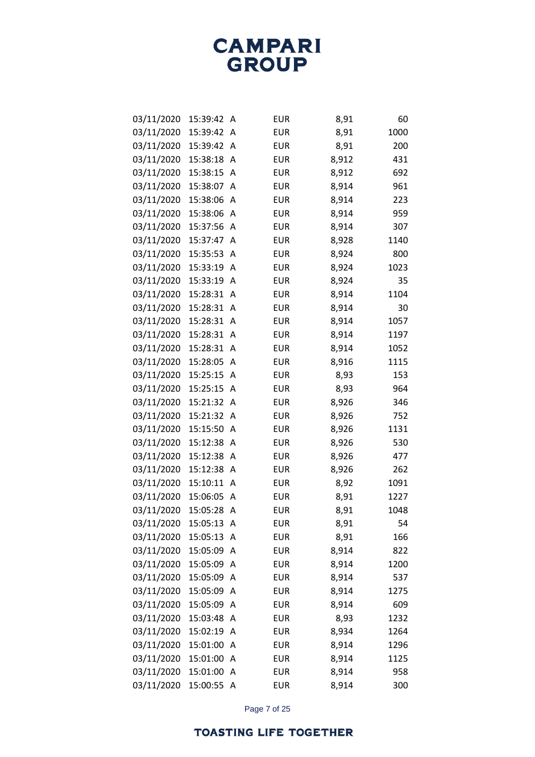| 03/11/2020 | 15:39:42 | Α | <b>EUR</b> | 8,91  | 60   |
|------------|----------|---|------------|-------|------|
| 03/11/2020 | 15:39:42 | Α | <b>EUR</b> | 8,91  | 1000 |
| 03/11/2020 | 15:39:42 | A | <b>EUR</b> | 8,91  | 200  |
| 03/11/2020 | 15:38:18 | Α | <b>EUR</b> | 8,912 | 431  |
| 03/11/2020 | 15:38:15 | A | <b>EUR</b> | 8,912 | 692  |
| 03/11/2020 | 15:38:07 | A | <b>EUR</b> | 8,914 | 961  |
| 03/11/2020 | 15:38:06 | Α | <b>EUR</b> | 8,914 | 223  |
| 03/11/2020 | 15:38:06 | Α | <b>EUR</b> | 8,914 | 959  |
| 03/11/2020 | 15:37:56 | Α | <b>EUR</b> | 8,914 | 307  |
| 03/11/2020 | 15:37:47 | Α | <b>EUR</b> | 8,928 | 1140 |
| 03/11/2020 | 15:35:53 | A | <b>EUR</b> | 8,924 | 800  |
| 03/11/2020 | 15:33:19 | Α | <b>EUR</b> | 8,924 | 1023 |
| 03/11/2020 | 15:33:19 | A | <b>EUR</b> | 8,924 | 35   |
| 03/11/2020 | 15:28:31 | Α | <b>EUR</b> | 8,914 | 1104 |
| 03/11/2020 | 15:28:31 | A | <b>EUR</b> | 8,914 | 30   |
| 03/11/2020 | 15:28:31 | Α | <b>EUR</b> | 8,914 | 1057 |
| 03/11/2020 | 15:28:31 | Α | <b>EUR</b> | 8,914 | 1197 |
| 03/11/2020 | 15:28:31 | Α | <b>EUR</b> | 8,914 | 1052 |
| 03/11/2020 | 15:28:05 | A | <b>EUR</b> | 8,916 | 1115 |
| 03/11/2020 | 15:25:15 | Α | <b>EUR</b> | 8,93  | 153  |
| 03/11/2020 | 15:25:15 | A | <b>EUR</b> | 8,93  | 964  |
| 03/11/2020 | 15:21:32 | Α | <b>EUR</b> | 8,926 | 346  |
| 03/11/2020 | 15:21:32 | A | <b>EUR</b> | 8,926 | 752  |
| 03/11/2020 | 15:15:50 | Α | <b>EUR</b> | 8,926 | 1131 |
| 03/11/2020 | 15:12:38 | A | <b>EUR</b> | 8,926 | 530  |
| 03/11/2020 | 15:12:38 | Α | <b>EUR</b> | 8,926 | 477  |
| 03/11/2020 | 15:12:38 | A | <b>EUR</b> | 8,926 | 262  |
| 03/11/2020 | 15:10:11 | Α | <b>EUR</b> | 8,92  | 1091 |
| 03/11/2020 | 15:06:05 | A | <b>EUR</b> | 8,91  | 1227 |
| 03/11/2020 | 15:05:28 | Α | <b>EUR</b> | 8,91  | 1048 |
| 03/11/2020 | 15:05:13 | A | <b>EUR</b> | 8,91  | 54   |
| 03/11/2020 | 15:05:13 | Α | <b>EUR</b> | 8,91  | 166  |
| 03/11/2020 | 15:05:09 | A | <b>EUR</b> | 8,914 | 822  |
| 03/11/2020 | 15:05:09 | Α | <b>EUR</b> | 8,914 | 1200 |
| 03/11/2020 | 15:05:09 | A | <b>EUR</b> | 8,914 | 537  |
| 03/11/2020 | 15:05:09 | Α | <b>EUR</b> | 8,914 | 1275 |
| 03/11/2020 | 15:05:09 | Α | <b>EUR</b> | 8,914 | 609  |
| 03/11/2020 | 15:03:48 | Α | <b>EUR</b> | 8,93  | 1232 |
| 03/11/2020 | 15:02:19 | Α | <b>EUR</b> | 8,934 | 1264 |
| 03/11/2020 | 15:01:00 | Α | <b>EUR</b> | 8,914 | 1296 |
| 03/11/2020 | 15:01:00 | A | <b>EUR</b> | 8,914 | 1125 |
| 03/11/2020 | 15:01:00 | A | <b>EUR</b> | 8,914 | 958  |
| 03/11/2020 | 15:00:55 | A | <b>EUR</b> | 8,914 | 300  |

Page 7 of 25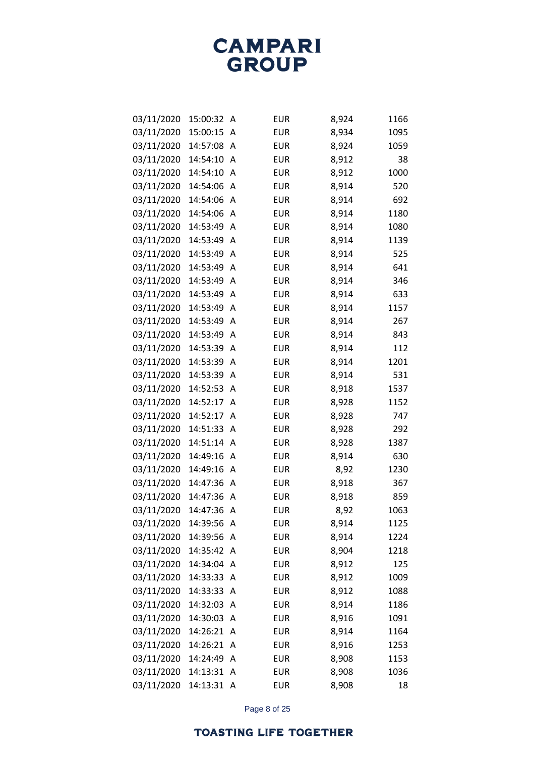| 03/11/2020 | 15:00:32   | Α | <b>EUR</b> | 8,924 | 1166 |
|------------|------------|---|------------|-------|------|
| 03/11/2020 | 15:00:15   | A | <b>EUR</b> | 8,934 | 1095 |
| 03/11/2020 | 14:57:08   | A | <b>EUR</b> | 8,924 | 1059 |
| 03/11/2020 | 14:54:10   | A | <b>EUR</b> | 8,912 | 38   |
| 03/11/2020 | 14:54:10   | A | <b>EUR</b> | 8,912 | 1000 |
| 03/11/2020 | 14:54:06   | A | <b>EUR</b> | 8,914 | 520  |
| 03/11/2020 | 14:54:06   | A | <b>EUR</b> | 8,914 | 692  |
| 03/11/2020 | 14:54:06   | Α | <b>EUR</b> | 8,914 | 1180 |
| 03/11/2020 | 14:53:49   | A | <b>EUR</b> | 8,914 | 1080 |
| 03/11/2020 | 14:53:49   | A | <b>EUR</b> | 8,914 | 1139 |
| 03/11/2020 | 14:53:49   | A | <b>EUR</b> | 8,914 | 525  |
| 03/11/2020 | 14:53:49   | Α | <b>EUR</b> | 8,914 | 641  |
| 03/11/2020 | 14:53:49   | A | <b>EUR</b> | 8,914 | 346  |
| 03/11/2020 | 14:53:49   | A | <b>EUR</b> | 8,914 | 633  |
| 03/11/2020 | 14:53:49   | A | <b>EUR</b> | 8,914 | 1157 |
| 03/11/2020 | 14:53:49   | Α | <b>EUR</b> | 8,914 | 267  |
| 03/11/2020 | 14:53:49   | A | <b>EUR</b> | 8,914 | 843  |
| 03/11/2020 | 14:53:39   | A | <b>EUR</b> | 8,914 | 112  |
| 03/11/2020 | 14:53:39   | A | <b>EUR</b> | 8,914 | 1201 |
| 03/11/2020 | 14:53:39   | Α | <b>EUR</b> | 8,914 | 531  |
| 03/11/2020 | 14:52:53   | A | <b>EUR</b> | 8,918 | 1537 |
| 03/11/2020 | 14:52:17   | A | <b>EUR</b> | 8,928 | 1152 |
| 03/11/2020 | 14:52:17   | A | <b>EUR</b> | 8,928 | 747  |
| 03/11/2020 | 14:51:33   | Α | <b>EUR</b> | 8,928 | 292  |
| 03/11/2020 | 14:51:14   | A | <b>EUR</b> | 8,928 | 1387 |
| 03/11/2020 | 14:49:16   | A | <b>EUR</b> | 8,914 | 630  |
| 03/11/2020 | 14:49:16   | A | <b>EUR</b> | 8,92  | 1230 |
| 03/11/2020 | 14:47:36   | Α | <b>EUR</b> | 8,918 | 367  |
| 03/11/2020 | 14:47:36   | A | <b>EUR</b> | 8,918 | 859  |
| 03/11/2020 | 14:47:36   | A | <b>EUR</b> | 8,92  | 1063 |
| 03/11/2020 | 14:39:56   | A | <b>EUR</b> | 8,914 | 1125 |
| 03/11/2020 | 14:39:56   | Α | <b>EUR</b> | 8,914 | 1224 |
| 03/11/2020 | 14:35:42   | Α | <b>EUR</b> | 8,904 | 1218 |
| 03/11/2020 | 14:34:04   | A | <b>EUR</b> | 8,912 | 125  |
| 03/11/2020 | 14:33:33   | A | <b>EUR</b> | 8,912 | 1009 |
| 03/11/2020 | 14:33:33   | A | <b>EUR</b> | 8,912 | 1088 |
| 03/11/2020 | 14:32:03   | A | <b>EUR</b> | 8,914 | 1186 |
| 03/11/2020 | 14:30:03   | Α | <b>EUR</b> | 8,916 | 1091 |
| 03/11/2020 | 14:26:21   | A | <b>EUR</b> | 8,914 | 1164 |
| 03/11/2020 | 14:26:21   | A | <b>EUR</b> | 8,916 | 1253 |
| 03/11/2020 | 14:24:49   | A | <b>EUR</b> | 8,908 | 1153 |
| 03/11/2020 | 14:13:31   | Α | <b>EUR</b> | 8,908 | 1036 |
| 03/11/2020 | 14:13:31 A |   | <b>EUR</b> | 8,908 | 18   |

Page 8 of 25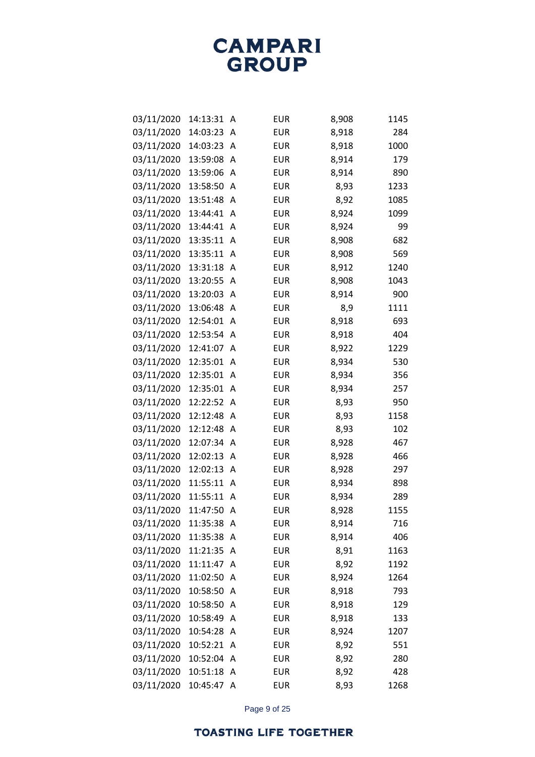| 03/11/2020 | 14:13:31   | A | <b>EUR</b> | 8,908 | 1145 |
|------------|------------|---|------------|-------|------|
| 03/11/2020 | 14:03:23   | Α | <b>EUR</b> | 8,918 | 284  |
| 03/11/2020 | 14:03:23   | A | <b>EUR</b> | 8,918 | 1000 |
| 03/11/2020 | 13:59:08   | Α | <b>EUR</b> | 8,914 | 179  |
| 03/11/2020 | 13:59:06   | A | <b>EUR</b> | 8,914 | 890  |
| 03/11/2020 | 13:58:50   | Α | <b>EUR</b> | 8,93  | 1233 |
| 03/11/2020 | 13:51:48   | A | <b>EUR</b> | 8,92  | 1085 |
| 03/11/2020 | 13:44:41   | A | <b>EUR</b> | 8,924 | 1099 |
| 03/11/2020 | 13:44:41   | A | <b>EUR</b> | 8,924 | 99   |
| 03/11/2020 | 13:35:11   | A | <b>EUR</b> | 8,908 | 682  |
| 03/11/2020 | 13:35:11   | Α | <b>EUR</b> | 8,908 | 569  |
| 03/11/2020 | 13:31:18   | Α | <b>EUR</b> | 8,912 | 1240 |
| 03/11/2020 | 13:20:55   | Α | <b>EUR</b> | 8,908 | 1043 |
| 03/11/2020 | 13:20:03   | A | <b>EUR</b> | 8,914 | 900  |
| 03/11/2020 | 13:06:48   | A | <b>EUR</b> | 8,9   | 1111 |
| 03/11/2020 | 12:54:01   | A | <b>EUR</b> | 8,918 | 693  |
| 03/11/2020 | 12:53:54   | A | <b>EUR</b> | 8,918 | 404  |
| 03/11/2020 | 12:41:07   | A | <b>EUR</b> | 8,922 | 1229 |
| 03/11/2020 | 12:35:01   | A | <b>EUR</b> | 8,934 | 530  |
| 03/11/2020 | 12:35:01   | Α | <b>EUR</b> | 8,934 | 356  |
| 03/11/2020 | 12:35:01   | Α | <b>EUR</b> | 8,934 | 257  |
| 03/11/2020 | 12:22:52   | A | <b>EUR</b> | 8,93  | 950  |
| 03/11/2020 | 12:12:48   | A | <b>EUR</b> | 8,93  | 1158 |
| 03/11/2020 | 12:12:48   | Α | <b>EUR</b> | 8,93  | 102  |
| 03/11/2020 | 12:07:34   | A | <b>EUR</b> | 8,928 | 467  |
| 03/11/2020 | 12:02:13   | A | <b>EUR</b> | 8,928 | 466  |
| 03/11/2020 | 12:02:13   | A | <b>EUR</b> | 8,928 | 297  |
| 03/11/2020 | 11:55:11   | Α | <b>EUR</b> | 8,934 | 898  |
| 03/11/2020 | 11:55:11   | A | <b>EUR</b> | 8,934 | 289  |
| 03/11/2020 | 11:47:50   | Α | <b>EUR</b> | 8,928 | 1155 |
| 03/11/2020 | 11:35:38 A |   | <b>EUR</b> | 8,914 | 716  |
| 03/11/2020 | 11:35:38   | Α | <b>EUR</b> | 8,914 | 406  |
| 03/11/2020 | 11:21:35   | Α | EUR        | 8,91  | 1163 |
| 03/11/2020 | 11:11:47   | Α | EUR        | 8,92  | 1192 |
| 03/11/2020 | 11:02:50   | A | EUR        | 8,924 | 1264 |
| 03/11/2020 | 10:58:50   | Α | EUR        | 8,918 | 793  |
| 03/11/2020 | 10:58:50   | Α | <b>EUR</b> | 8,918 | 129  |
| 03/11/2020 | 10:58:49   | Α | EUR        | 8,918 | 133  |
| 03/11/2020 | 10:54:28   | A | EUR        | 8,924 | 1207 |
| 03/11/2020 | 10:52:21   | A | EUR        | 8,92  | 551  |
| 03/11/2020 | 10:52:04   | A | <b>EUR</b> | 8,92  | 280  |
| 03/11/2020 | 10:51:18   | Α | <b>EUR</b> | 8,92  | 428  |
| 03/11/2020 | 10:45:47 A |   | EUR        | 8,93  | 1268 |

Page 9 of 25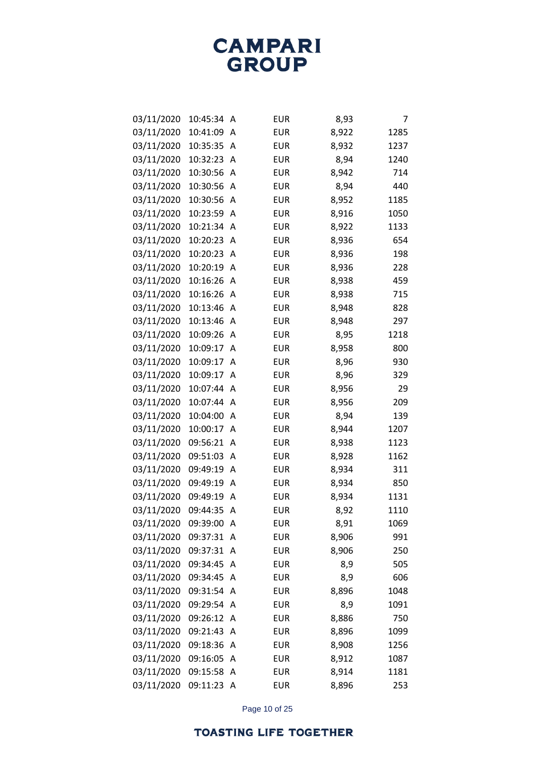| 03/11/2020 | 10:45:34 | Α | <b>EUR</b> | 8,93  | 7    |
|------------|----------|---|------------|-------|------|
| 03/11/2020 | 10:41:09 | Α | <b>EUR</b> | 8,922 | 1285 |
| 03/11/2020 | 10:35:35 | A | <b>EUR</b> | 8,932 | 1237 |
| 03/11/2020 | 10:32:23 | Α | <b>EUR</b> | 8,94  | 1240 |
| 03/11/2020 | 10:30:56 | Α | <b>EUR</b> | 8,942 | 714  |
| 03/11/2020 | 10:30:56 | Α | <b>EUR</b> | 8,94  | 440  |
| 03/11/2020 | 10:30:56 | Α | <b>EUR</b> | 8,952 | 1185 |
| 03/11/2020 | 10:23:59 | Α | <b>EUR</b> | 8,916 | 1050 |
| 03/11/2020 | 10:21:34 | Α | <b>EUR</b> | 8,922 | 1133 |
| 03/11/2020 | 10:20:23 | Α | <b>EUR</b> | 8,936 | 654  |
| 03/11/2020 | 10:20:23 | Α | <b>EUR</b> | 8,936 | 198  |
| 03/11/2020 | 10:20:19 | Α | <b>EUR</b> | 8,936 | 228  |
| 03/11/2020 | 10:16:26 | A | <b>EUR</b> | 8,938 | 459  |
| 03/11/2020 | 10:16:26 | Α | <b>EUR</b> | 8,938 | 715  |
| 03/11/2020 | 10:13:46 | Α | <b>EUR</b> | 8,948 | 828  |
| 03/11/2020 | 10:13:46 | Α | <b>EUR</b> | 8,948 | 297  |
| 03/11/2020 | 10:09:26 | Α | <b>EUR</b> | 8,95  | 1218 |
| 03/11/2020 | 10:09:17 | Α | <b>EUR</b> | 8,958 | 800  |
| 03/11/2020 | 10:09:17 | Α | <b>EUR</b> | 8,96  | 930  |
| 03/11/2020 | 10:09:17 | Α | <b>EUR</b> | 8,96  | 329  |
| 03/11/2020 | 10:07:44 | A | <b>EUR</b> | 8,956 | 29   |
| 03/11/2020 | 10:07:44 | Α | <b>EUR</b> | 8,956 | 209  |
| 03/11/2020 | 10:04:00 | Α | <b>EUR</b> | 8,94  | 139  |
| 03/11/2020 | 10:00:17 | Α | <b>EUR</b> | 8,944 | 1207 |
| 03/11/2020 | 09:56:21 | Α | <b>EUR</b> | 8,938 | 1123 |
| 03/11/2020 | 09:51:03 | Α | <b>EUR</b> | 8,928 | 1162 |
| 03/11/2020 | 09:49:19 | Α | <b>EUR</b> | 8,934 | 311  |
| 03/11/2020 | 09:49:19 | Α | <b>EUR</b> | 8,934 | 850  |
| 03/11/2020 | 09:49:19 | A | <b>EUR</b> | 8,934 | 1131 |
| 03/11/2020 | 09:44:35 | Α | <b>EUR</b> | 8,92  | 1110 |
| 03/11/2020 | 09:39:00 | Α | <b>EUR</b> | 8,91  | 1069 |
| 03/11/2020 | 09:37:31 | Α | <b>EUR</b> | 8,906 | 991  |
| 03/11/2020 | 09:37:31 | Α | <b>EUR</b> | 8,906 | 250  |
| 03/11/2020 | 09:34:45 | Α | <b>EUR</b> | 8,9   | 505  |
| 03/11/2020 | 09:34:45 | Α | <b>EUR</b> | 8,9   | 606  |
| 03/11/2020 | 09:31:54 | Α | <b>EUR</b> | 8,896 | 1048 |
| 03/11/2020 | 09:29:54 | Α | <b>EUR</b> | 8,9   | 1091 |
| 03/11/2020 | 09:26:12 | Α | <b>EUR</b> | 8,886 | 750  |
| 03/11/2020 | 09:21:43 | Α | <b>EUR</b> | 8,896 | 1099 |
| 03/11/2020 | 09:18:36 | Α | <b>EUR</b> | 8,908 | 1256 |
| 03/11/2020 | 09:16:05 | Α | <b>EUR</b> | 8,912 | 1087 |
| 03/11/2020 | 09:15:58 | Α | <b>EUR</b> | 8,914 | 1181 |
| 03/11/2020 | 09:11:23 | A | <b>EUR</b> | 8,896 | 253  |

Page 10 of 25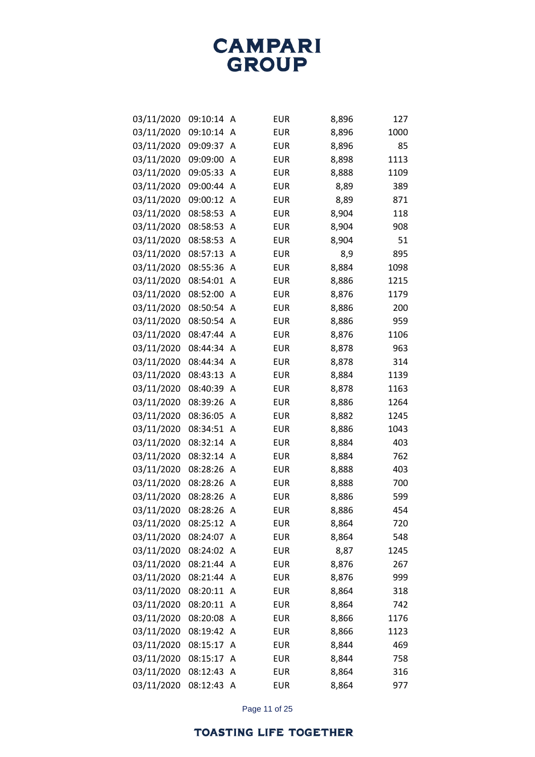| 03/11/2020 | 09:10:14 | Α | <b>EUR</b> | 8,896 | 127  |
|------------|----------|---|------------|-------|------|
| 03/11/2020 | 09:10:14 | Α | <b>EUR</b> | 8,896 | 1000 |
| 03/11/2020 | 09:09:37 | A | <b>EUR</b> | 8,896 | 85   |
| 03/11/2020 | 09:09:00 | Α | <b>EUR</b> | 8,898 | 1113 |
| 03/11/2020 | 09:05:33 | A | <b>EUR</b> | 8,888 | 1109 |
| 03/11/2020 | 09:00:44 | Α | <b>EUR</b> | 8,89  | 389  |
| 03/11/2020 | 09:00:12 | A | <b>EUR</b> | 8,89  | 871  |
| 03/11/2020 | 08:58:53 | Α | <b>EUR</b> | 8,904 | 118  |
| 03/11/2020 | 08:58:53 | A | <b>EUR</b> | 8,904 | 908  |
| 03/11/2020 | 08:58:53 | A | <b>EUR</b> | 8,904 | 51   |
| 03/11/2020 | 08:57:13 | A | <b>EUR</b> | 8,9   | 895  |
| 03/11/2020 | 08:55:36 | Α | <b>EUR</b> | 8,884 | 1098 |
| 03/11/2020 | 08:54:01 | A | <b>EUR</b> | 8,886 | 1215 |
| 03/11/2020 | 08:52:00 | Α | <b>EUR</b> | 8,876 | 1179 |
| 03/11/2020 | 08:50:54 | Α | <b>EUR</b> | 8,886 | 200  |
| 03/11/2020 | 08:50:54 | Α | <b>EUR</b> | 8,886 | 959  |
| 03/11/2020 | 08:47:44 | A | <b>EUR</b> | 8,876 | 1106 |
| 03/11/2020 | 08:44:34 | Α | <b>EUR</b> | 8,878 | 963  |
| 03/11/2020 | 08:44:34 | A | <b>EUR</b> | 8,878 | 314  |
| 03/11/2020 | 08:43:13 | Α | <b>EUR</b> | 8,884 | 1139 |
| 03/11/2020 | 08:40:39 | A | <b>EUR</b> | 8,878 | 1163 |
| 03/11/2020 | 08:39:26 | Α | <b>EUR</b> | 8,886 | 1264 |
| 03/11/2020 | 08:36:05 | A | <b>EUR</b> | 8,882 | 1245 |
| 03/11/2020 | 08:34:51 | Α | <b>EUR</b> | 8,886 | 1043 |
| 03/11/2020 | 08:32:14 | A | <b>EUR</b> | 8,884 | 403  |
| 03/11/2020 | 08:32:14 | Α | <b>EUR</b> | 8,884 | 762  |
| 03/11/2020 | 08:28:26 | Α | <b>EUR</b> | 8,888 | 403  |
| 03/11/2020 | 08:28:26 | Α | <b>EUR</b> | 8,888 | 700  |
| 03/11/2020 | 08:28:26 | A | <b>EUR</b> | 8,886 | 599  |
| 03/11/2020 | 08:28:26 | Α | <b>EUR</b> | 8,886 | 454  |
| 03/11/2020 | 08:25:12 | Α | <b>EUR</b> | 8,864 | 720  |
| 03/11/2020 | 08:24:07 | A | <b>EUR</b> | 8,864 | 548  |
| 03/11/2020 | 08:24:02 | A | <b>EUR</b> | 8,87  | 1245 |
| 03/11/2020 | 08:21:44 | Α | <b>EUR</b> | 8,876 | 267  |
| 03/11/2020 | 08:21:44 | A | <b>EUR</b> | 8,876 | 999  |
| 03/11/2020 | 08:20:11 | A | <b>EUR</b> | 8,864 | 318  |
| 03/11/2020 | 08:20:11 | A | <b>EUR</b> | 8,864 | 742  |
| 03/11/2020 | 08:20:08 | A | <b>EUR</b> | 8,866 | 1176 |
| 03/11/2020 | 08:19:42 | Α | <b>EUR</b> | 8,866 | 1123 |
| 03/11/2020 | 08:15:17 | A | <b>EUR</b> | 8,844 | 469  |
| 03/11/2020 | 08:15:17 | A | <b>EUR</b> | 8,844 | 758  |
| 03/11/2020 | 08:12:43 | A | <b>EUR</b> | 8,864 | 316  |
| 03/11/2020 | 08:12:43 | A | <b>EUR</b> | 8,864 | 977  |

Page 11 of 25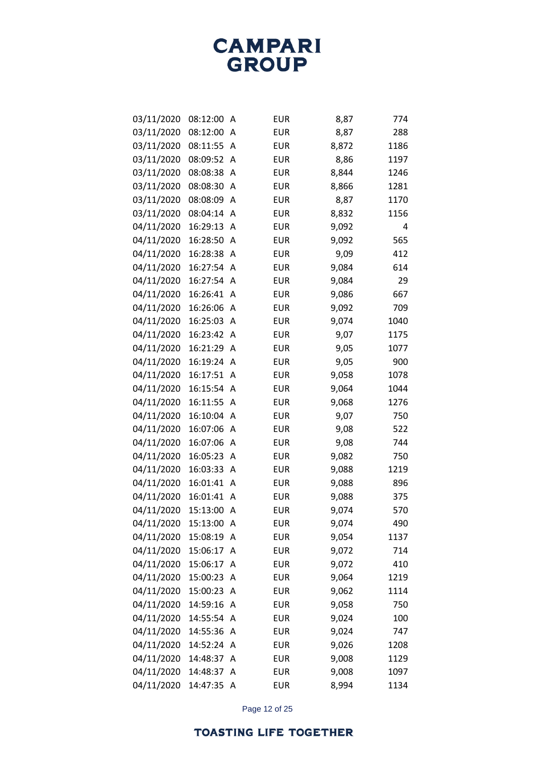| 03/11/2020 | 08:12:00 | Α | <b>EUR</b> | 8,87  | 774  |
|------------|----------|---|------------|-------|------|
| 03/11/2020 | 08:12:00 | Α | <b>EUR</b> | 8,87  | 288  |
| 03/11/2020 | 08:11:55 | Α | <b>EUR</b> | 8,872 | 1186 |
| 03/11/2020 | 08:09:52 | Α | <b>EUR</b> | 8,86  | 1197 |
| 03/11/2020 | 08:08:38 | Α | <b>EUR</b> | 8,844 | 1246 |
| 03/11/2020 | 08:08:30 | Α | <b>EUR</b> | 8,866 | 1281 |
| 03/11/2020 | 08:08:09 | Α | <b>EUR</b> | 8,87  | 1170 |
| 03/11/2020 | 08:04:14 | Α | <b>EUR</b> | 8,832 | 1156 |
| 04/11/2020 | 16:29:13 | Α | <b>EUR</b> | 9,092 | 4    |
| 04/11/2020 | 16:28:50 | Α | <b>EUR</b> | 9,092 | 565  |
| 04/11/2020 | 16:28:38 | Α | <b>EUR</b> | 9,09  | 412  |
| 04/11/2020 | 16:27:54 | Α | <b>EUR</b> | 9,084 | 614  |
| 04/11/2020 | 16:27:54 | A | <b>EUR</b> | 9,084 | 29   |
| 04/11/2020 | 16:26:41 | Α | <b>EUR</b> | 9,086 | 667  |
| 04/11/2020 | 16:26:06 | Α | <b>EUR</b> | 9,092 | 709  |
| 04/11/2020 | 16:25:03 | Α | <b>EUR</b> | 9,074 | 1040 |
| 04/11/2020 | 16:23:42 | Α | <b>EUR</b> | 9,07  | 1175 |
| 04/11/2020 | 16:21:29 | Α | <b>EUR</b> | 9,05  | 1077 |
| 04/11/2020 | 16:19:24 | Α | <b>EUR</b> | 9,05  | 900  |
| 04/11/2020 | 16:17:51 | Α | <b>EUR</b> | 9,058 | 1078 |
| 04/11/2020 | 16:15:54 | Α | <b>EUR</b> | 9,064 | 1044 |
| 04/11/2020 | 16:11:55 | Α | <b>EUR</b> | 9,068 | 1276 |
| 04/11/2020 | 16:10:04 | Α | <b>EUR</b> | 9,07  | 750  |
| 04/11/2020 | 16:07:06 | Α | <b>EUR</b> | 9,08  | 522  |
| 04/11/2020 | 16:07:06 | A | <b>EUR</b> | 9,08  | 744  |
| 04/11/2020 | 16:05:23 | Α | <b>EUR</b> | 9,082 | 750  |
| 04/11/2020 | 16:03:33 | Α | <b>EUR</b> | 9,088 | 1219 |
| 04/11/2020 | 16:01:41 | Α | <b>EUR</b> | 9,088 | 896  |
| 04/11/2020 | 16:01:41 | Α | <b>EUR</b> | 9,088 | 375  |
| 04/11/2020 | 15:13:00 | Α | <b>EUR</b> | 9,074 | 570  |
| 04/11/2020 | 15:13:00 | A | <b>EUR</b> | 9,074 | 490  |
| 04/11/2020 | 15:08:19 | Α | <b>EUR</b> | 9,054 | 1137 |
| 04/11/2020 | 15:06:17 | A | <b>EUR</b> | 9,072 | 714  |
| 04/11/2020 | 15:06:17 | Α | <b>EUR</b> | 9,072 | 410  |
| 04/11/2020 | 15:00:23 | A | <b>EUR</b> | 9,064 | 1219 |
| 04/11/2020 | 15:00:23 | Α | <b>EUR</b> | 9,062 | 1114 |
| 04/11/2020 | 14:59:16 | A | <b>EUR</b> | 9,058 | 750  |
| 04/11/2020 | 14:55:54 | Α | <b>EUR</b> | 9,024 | 100  |
| 04/11/2020 | 14:55:36 | A | <b>EUR</b> | 9,024 | 747  |
| 04/11/2020 | 14:52:24 | A | <b>EUR</b> | 9,026 | 1208 |
| 04/11/2020 | 14:48:37 | Α | <b>EUR</b> | 9,008 | 1129 |
| 04/11/2020 | 14:48:37 | Α | <b>EUR</b> | 9,008 | 1097 |
| 04/11/2020 | 14:47:35 | Α | <b>EUR</b> | 8,994 | 1134 |

Page 12 of 25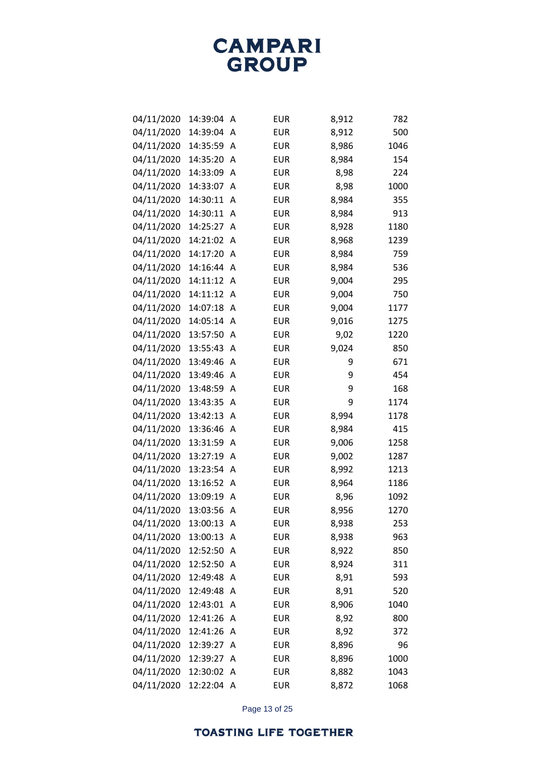| 04/11/2020 | 14:39:04   | Α | <b>EUR</b> | 8,912 | 782  |
|------------|------------|---|------------|-------|------|
| 04/11/2020 | 14:39:04   | A | <b>EUR</b> | 8,912 | 500  |
| 04/11/2020 | 14:35:59   | A | <b>EUR</b> | 8,986 | 1046 |
| 04/11/2020 | 14:35:20   | A | <b>EUR</b> | 8,984 | 154  |
| 04/11/2020 | 14:33:09   | A | <b>EUR</b> | 8,98  | 224  |
| 04/11/2020 | 14:33:07   | A | <b>EUR</b> | 8,98  | 1000 |
| 04/11/2020 | 14:30:11   | A | <b>EUR</b> | 8,984 | 355  |
| 04/11/2020 | 14:30:11   | A | <b>EUR</b> | 8,984 | 913  |
| 04/11/2020 | 14:25:27   | A | <b>EUR</b> | 8,928 | 1180 |
| 04/11/2020 | 14:21:02   | A | <b>EUR</b> | 8,968 | 1239 |
| 04/11/2020 | 14:17:20   | A | <b>EUR</b> | 8,984 | 759  |
| 04/11/2020 | 14:16:44   | A | <b>EUR</b> | 8,984 | 536  |
| 04/11/2020 | 14:11:12   | A | <b>EUR</b> | 9,004 | 295  |
| 04/11/2020 | 14:11:12   | A | <b>EUR</b> | 9,004 | 750  |
| 04/11/2020 | 14:07:18   | A | <b>EUR</b> | 9,004 | 1177 |
| 04/11/2020 | 14:05:14   | A | <b>EUR</b> | 9,016 | 1275 |
| 04/11/2020 | 13:57:50   | A | <b>EUR</b> | 9,02  | 1220 |
| 04/11/2020 | 13:55:43   | A | <b>EUR</b> | 9,024 | 850  |
| 04/11/2020 | 13:49:46   | A | <b>EUR</b> | 9     | 671  |
| 04/11/2020 | 13:49:46   | A | <b>EUR</b> | 9     | 454  |
| 04/11/2020 | 13:48:59   | A | <b>EUR</b> | 9     | 168  |
| 04/11/2020 | 13:43:35   | A | <b>EUR</b> | 9     | 1174 |
| 04/11/2020 | 13:42:13   | A | <b>EUR</b> | 8,994 | 1178 |
| 04/11/2020 | 13:36:46   | A | <b>EUR</b> | 8,984 | 415  |
| 04/11/2020 | 13:31:59   | A | <b>EUR</b> | 9,006 | 1258 |
| 04/11/2020 | 13:27:19   | A | <b>EUR</b> | 9,002 | 1287 |
| 04/11/2020 | 13:23:54   | A | <b>EUR</b> | 8,992 | 1213 |
| 04/11/2020 | 13:16:52   | A | <b>EUR</b> | 8,964 | 1186 |
| 04/11/2020 | 13:09:19   | A | <b>EUR</b> | 8,96  | 1092 |
| 04/11/2020 | 13:03:56   | A | <b>EUR</b> | 8,956 | 1270 |
| 04/11/2020 | 13:00:13   | A | <b>EUR</b> | 8,938 | 253  |
| 04/11/2020 | 13:00:13   | Α | <b>EUR</b> | 8,938 | 963  |
| 04/11/2020 | 12:52:50   | A | <b>EUR</b> | 8,922 | 850  |
| 04/11/2020 | 12:52:50   | A | <b>EUR</b> | 8,924 | 311  |
| 04/11/2020 | 12:49:48   | A | <b>EUR</b> | 8,91  | 593  |
| 04/11/2020 | 12:49:48   | A | <b>EUR</b> | 8,91  | 520  |
| 04/11/2020 | 12:43:01   | A | <b>EUR</b> | 8,906 | 1040 |
| 04/11/2020 | 12:41:26   | A | <b>EUR</b> | 8,92  | 800  |
| 04/11/2020 | 12:41:26   | A | <b>EUR</b> | 8,92  | 372  |
| 04/11/2020 | 12:39:27   | A | <b>EUR</b> | 8,896 | 96   |
| 04/11/2020 | 12:39:27   | A | <b>EUR</b> | 8,896 | 1000 |
| 04/11/2020 | 12:30:02   | Α | <b>EUR</b> | 8,882 | 1043 |
| 04/11/2020 | 12:22:04 A |   | EUR        | 8,872 | 1068 |

Page 13 of 25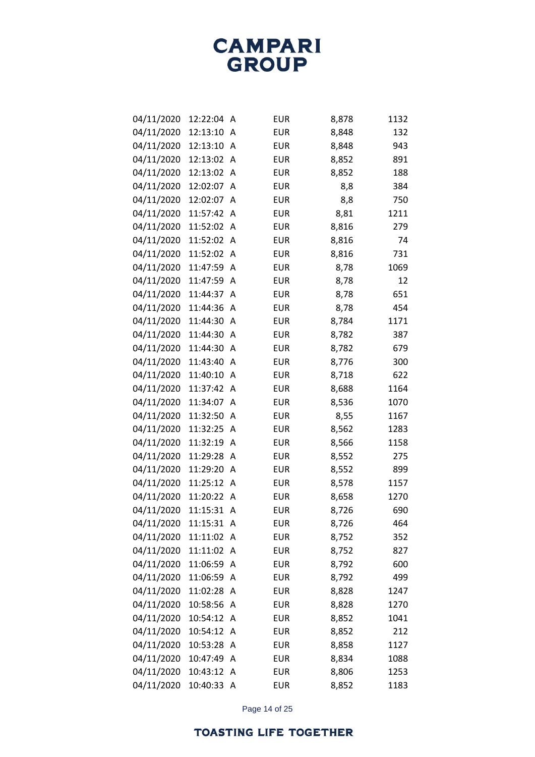| 04/11/2020 | 12:22:04 | Α | <b>EUR</b> | 8,878 | 1132 |
|------------|----------|---|------------|-------|------|
| 04/11/2020 | 12:13:10 | A | <b>EUR</b> | 8,848 | 132  |
| 04/11/2020 | 12:13:10 | Α | <b>EUR</b> | 8,848 | 943  |
| 04/11/2020 | 12:13:02 | Α | <b>EUR</b> | 8,852 | 891  |
| 04/11/2020 | 12:13:02 | Α | <b>EUR</b> | 8,852 | 188  |
| 04/11/2020 | 12:02:07 | A | <b>EUR</b> | 8,8   | 384  |
| 04/11/2020 | 12:02:07 | A | <b>EUR</b> | 8,8   | 750  |
| 04/11/2020 | 11:57:42 | Α | <b>EUR</b> | 8,81  | 1211 |
| 04/11/2020 | 11:52:02 | A | <b>EUR</b> | 8,816 | 279  |
| 04/11/2020 | 11:52:02 | Α | <b>EUR</b> | 8,816 | 74   |
| 04/11/2020 | 11:52:02 | A | <b>EUR</b> | 8,816 | 731  |
| 04/11/2020 | 11:47:59 | Α | <b>EUR</b> | 8,78  | 1069 |
| 04/11/2020 | 11:47:59 | A | <b>EUR</b> | 8,78  | 12   |
| 04/11/2020 | 11:44:37 | A | <b>EUR</b> | 8,78  | 651  |
| 04/11/2020 | 11:44:36 | A | <b>EUR</b> | 8,78  | 454  |
| 04/11/2020 | 11:44:30 | Α | <b>EUR</b> | 8,784 | 1171 |
| 04/11/2020 | 11:44:30 | Α | <b>EUR</b> | 8,782 | 387  |
| 04/11/2020 | 11:44:30 | A | <b>EUR</b> | 8,782 | 679  |
| 04/11/2020 | 11:43:40 | A | <b>EUR</b> | 8,776 | 300  |
| 04/11/2020 | 11:40:10 | A | <b>EUR</b> | 8,718 | 622  |
| 04/11/2020 | 11:37:42 | Α | <b>EUR</b> | 8,688 | 1164 |
| 04/11/2020 | 11:34:07 | A | <b>EUR</b> | 8,536 | 1070 |
| 04/11/2020 | 11:32:50 | A | <b>EUR</b> | 8,55  | 1167 |
| 04/11/2020 | 11:32:25 | Α | <b>EUR</b> | 8,562 | 1283 |
| 04/11/2020 | 11:32:19 | A | <b>EUR</b> | 8,566 | 1158 |
| 04/11/2020 | 11:29:28 | A | <b>EUR</b> | 8,552 | 275  |
| 04/11/2020 | 11:29:20 | Α | <b>EUR</b> | 8,552 | 899  |
| 04/11/2020 | 11:25:12 | A | <b>EUR</b> | 8,578 | 1157 |
| 04/11/2020 | 11:20:22 | A | <b>EUR</b> | 8,658 | 1270 |
| 04/11/2020 | 11:15:31 | A | <b>EUR</b> | 8,726 | 690  |
| 04/11/2020 | 11:15:31 | Α | <b>EUR</b> | 8,726 | 464  |
| 04/11/2020 | 11:11:02 | Α | <b>EUR</b> | 8,752 | 352  |
| 04/11/2020 | 11:11:02 | Α | <b>EUR</b> | 8,752 | 827  |
| 04/11/2020 | 11:06:59 | Α | <b>EUR</b> | 8,792 | 600  |
| 04/11/2020 | 11:06:59 | Α | <b>EUR</b> | 8,792 | 499  |
| 04/11/2020 | 11:02:28 | Α | <b>EUR</b> | 8,828 | 1247 |
| 04/11/2020 | 10:58:56 | Α | <b>EUR</b> | 8,828 | 1270 |
| 04/11/2020 | 10:54:12 | Α | <b>EUR</b> | 8,852 | 1041 |
| 04/11/2020 | 10:54:12 | Α | <b>EUR</b> | 8,852 | 212  |
| 04/11/2020 | 10:53:28 | Α | <b>EUR</b> | 8,858 | 1127 |
| 04/11/2020 | 10:47:49 | Α | <b>EUR</b> | 8,834 | 1088 |
| 04/11/2020 | 10:43:12 | Α | <b>EUR</b> | 8,806 | 1253 |
| 04/11/2020 | 10:40:33 | Α | <b>EUR</b> | 8,852 | 1183 |

Page 14 of 25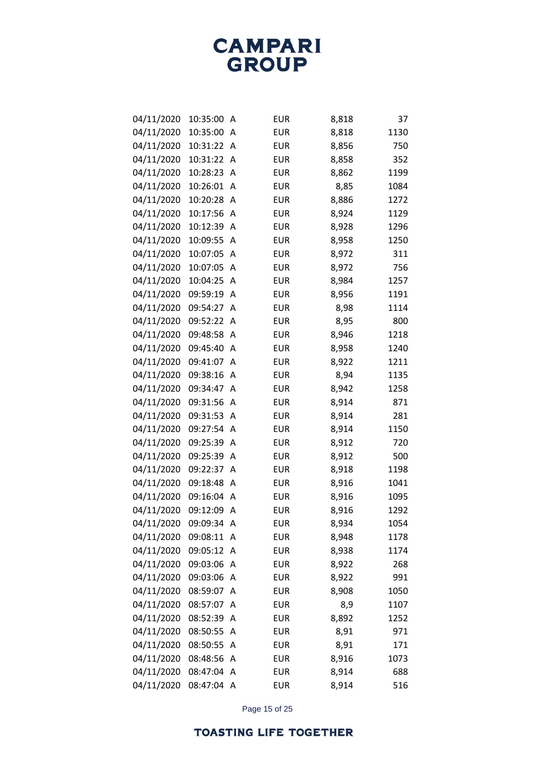| 04/11/2020 | 10:35:00   | Α | <b>EUR</b> | 8,818 | 37   |
|------------|------------|---|------------|-------|------|
| 04/11/2020 | 10:35:00   | A | <b>EUR</b> | 8,818 | 1130 |
| 04/11/2020 | 10:31:22   | Α | <b>EUR</b> | 8,856 | 750  |
| 04/11/2020 | 10:31:22   | Α | <b>EUR</b> | 8,858 | 352  |
| 04/11/2020 | 10:28:23   | A | <b>EUR</b> | 8,862 | 1199 |
| 04/11/2020 | 10:26:01   | Α | <b>EUR</b> | 8,85  | 1084 |
| 04/11/2020 | 10:20:28   | A | <b>EUR</b> | 8,886 | 1272 |
| 04/11/2020 | 10:17:56   | Α | <b>EUR</b> | 8,924 | 1129 |
| 04/11/2020 | 10:12:39   | Α | <b>EUR</b> | 8,928 | 1296 |
| 04/11/2020 | 10:09:55   | Α | <b>EUR</b> | 8,958 | 1250 |
| 04/11/2020 | 10:07:05   | A | <b>EUR</b> | 8,972 | 311  |
| 04/11/2020 | 10:07:05   | Α | <b>EUR</b> | 8,972 | 756  |
| 04/11/2020 | 10:04:25   | A | <b>EUR</b> | 8,984 | 1257 |
| 04/11/2020 | 09:59:19   | Α | <b>EUR</b> | 8,956 | 1191 |
| 04/11/2020 | 09:54:27   | Α | <b>EUR</b> | 8,98  | 1114 |
| 04/11/2020 | 09:52:22   | Α | <b>EUR</b> | 8,95  | 800  |
| 04/11/2020 | 09:48:58   | A | <b>EUR</b> | 8,946 | 1218 |
| 04/11/2020 | 09:45:40   | Α | <b>EUR</b> | 8,958 | 1240 |
| 04/11/2020 | 09:41:07   | A | <b>EUR</b> | 8,922 | 1211 |
| 04/11/2020 | 09:38:16   | Α | <b>EUR</b> | 8,94  | 1135 |
| 04/11/2020 | 09:34:47   | A | <b>EUR</b> | 8,942 | 1258 |
| 04/11/2020 | 09:31:56   | Α | <b>EUR</b> | 8,914 | 871  |
| 04/11/2020 | 09:31:53   | Α | <b>EUR</b> | 8,914 | 281  |
| 04/11/2020 | 09:27:54   | Α | <b>EUR</b> | 8,914 | 1150 |
| 04/11/2020 | 09:25:39   | Α | <b>EUR</b> | 8,912 | 720  |
| 04/11/2020 | 09:25:39   | Α | <b>EUR</b> | 8,912 | 500  |
| 04/11/2020 | 09:22:37   | A | <b>EUR</b> | 8,918 | 1198 |
| 04/11/2020 | 09:18:48   | Α | <b>EUR</b> | 8,916 | 1041 |
| 04/11/2020 | 09:16:04   | A | <b>EUR</b> | 8,916 | 1095 |
| 04/11/2020 | 09:12:09   | Α | <b>EUR</b> | 8,916 | 1292 |
| 04/11/2020 | 09:09:34   | Α | <b>EUR</b> | 8,934 | 1054 |
| 04/11/2020 | 09:08:11   | Α | <b>EUR</b> | 8,948 | 1178 |
| 04/11/2020 | 09:05:12   | Α | <b>EUR</b> | 8,938 | 1174 |
| 04/11/2020 | 09:03:06   | Α | <b>EUR</b> | 8,922 | 268  |
| 04/11/2020 | 09:03:06   | Α | <b>EUR</b> | 8,922 | 991  |
| 04/11/2020 | 08:59:07   | A | <b>EUR</b> | 8,908 | 1050 |
| 04/11/2020 | 08:57:07   | Α | <b>EUR</b> | 8,9   | 1107 |
| 04/11/2020 | 08:52:39   | Α | <b>EUR</b> | 8,892 | 1252 |
| 04/11/2020 | 08:50:55   | Α | <b>EUR</b> | 8,91  | 971  |
| 04/11/2020 | 08:50:55   | Α | <b>EUR</b> | 8,91  | 171  |
| 04/11/2020 | 08:48:56   | A | <b>EUR</b> | 8,916 | 1073 |
| 04/11/2020 | 08:47:04   | Α | <b>EUR</b> | 8,914 | 688  |
| 04/11/2020 | 08:47:04 A |   | <b>EUR</b> | 8,914 | 516  |

Page 15 of 25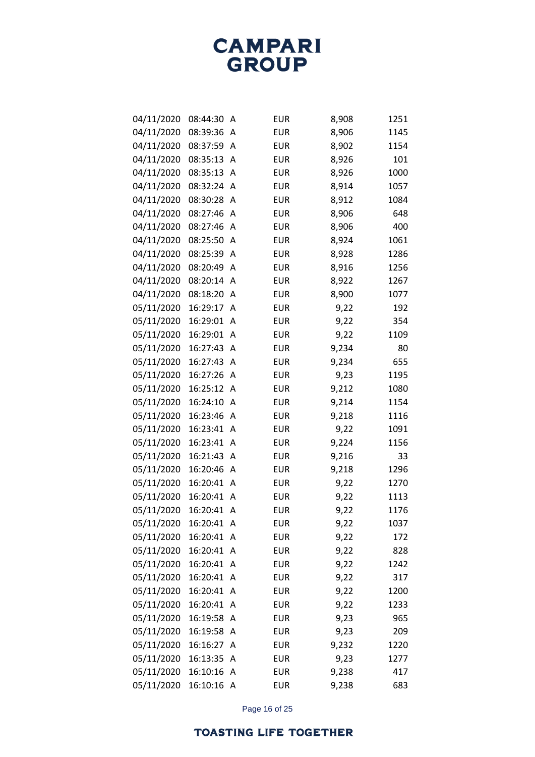| 04/11/2020 | 08:44:30 | Α | <b>EUR</b> | 8,908 | 1251 |
|------------|----------|---|------------|-------|------|
| 04/11/2020 | 08:39:36 | Α | <b>EUR</b> | 8,906 | 1145 |
| 04/11/2020 | 08:37:59 | A | <b>EUR</b> | 8,902 | 1154 |
| 04/11/2020 | 08:35:13 | Α | <b>EUR</b> | 8,926 | 101  |
| 04/11/2020 | 08:35:13 | A | <b>EUR</b> | 8,926 | 1000 |
| 04/11/2020 | 08:32:24 | Α | <b>EUR</b> | 8,914 | 1057 |
| 04/11/2020 | 08:30:28 | A | <b>EUR</b> | 8,912 | 1084 |
| 04/11/2020 | 08:27:46 | Α | <b>EUR</b> | 8,906 | 648  |
| 04/11/2020 | 08:27:46 | Α | <b>EUR</b> | 8,906 | 400  |
| 04/11/2020 | 08:25:50 | Α | <b>EUR</b> | 8,924 | 1061 |
| 04/11/2020 | 08:25:39 | Α | <b>EUR</b> | 8,928 | 1286 |
| 04/11/2020 | 08:20:49 | Α | <b>EUR</b> | 8,916 | 1256 |
| 04/11/2020 | 08:20:14 | A | <b>EUR</b> | 8,922 | 1267 |
| 04/11/2020 | 08:18:20 | Α | <b>EUR</b> | 8,900 | 1077 |
| 05/11/2020 | 16:29:17 | Α | <b>EUR</b> | 9,22  | 192  |
| 05/11/2020 | 16:29:01 | Α | <b>EUR</b> | 9,22  | 354  |
| 05/11/2020 | 16:29:01 | Α | <b>EUR</b> | 9,22  | 1109 |
| 05/11/2020 | 16:27:43 | Α | <b>EUR</b> | 9,234 | 80   |
| 05/11/2020 | 16:27:43 | Α | <b>EUR</b> | 9,234 | 655  |
| 05/11/2020 | 16:27:26 | Α | <b>EUR</b> | 9,23  | 1195 |
| 05/11/2020 | 16:25:12 | Α | <b>EUR</b> | 9,212 | 1080 |
| 05/11/2020 | 16:24:10 | Α | <b>EUR</b> | 9,214 | 1154 |
| 05/11/2020 | 16:23:46 | Α | <b>EUR</b> | 9,218 | 1116 |
| 05/11/2020 | 16:23:41 | Α | <b>EUR</b> | 9,22  | 1091 |
| 05/11/2020 | 16:23:41 | Α | <b>EUR</b> | 9,224 | 1156 |
| 05/11/2020 | 16:21:43 | Α | <b>EUR</b> | 9,216 | 33   |
| 05/11/2020 | 16:20:46 | Α | <b>EUR</b> | 9,218 | 1296 |
| 05/11/2020 | 16:20:41 | Α | <b>EUR</b> | 9,22  | 1270 |
| 05/11/2020 | 16:20:41 | A | <b>EUR</b> | 9,22  | 1113 |
| 05/11/2020 | 16:20:41 | Α | <b>EUR</b> | 9,22  | 1176 |
| 05/11/2020 | 16:20:41 | Α | <b>EUR</b> | 9,22  | 1037 |
| 05/11/2020 | 16:20:41 | Α | <b>EUR</b> | 9,22  | 172  |
| 05/11/2020 | 16:20:41 | Α | <b>EUR</b> | 9,22  | 828  |
| 05/11/2020 | 16:20:41 | Α | <b>EUR</b> | 9,22  | 1242 |
| 05/11/2020 | 16:20:41 | Α | <b>EUR</b> | 9,22  | 317  |
| 05/11/2020 | 16:20:41 | Α | <b>EUR</b> | 9,22  | 1200 |
| 05/11/2020 | 16:20:41 | Α | <b>EUR</b> | 9,22  | 1233 |
| 05/11/2020 | 16:19:58 | Α | <b>EUR</b> | 9,23  | 965  |
| 05/11/2020 | 16:19:58 | Α | <b>EUR</b> | 9,23  | 209  |
| 05/11/2020 | 16:16:27 | Α | <b>EUR</b> | 9,232 | 1220 |
| 05/11/2020 | 16:13:35 | Α | <b>EUR</b> | 9,23  | 1277 |
| 05/11/2020 | 16:10:16 | Α | <b>EUR</b> | 9,238 | 417  |
| 05/11/2020 | 16:10:16 | A | <b>EUR</b> | 9,238 | 683  |

Page 16 of 25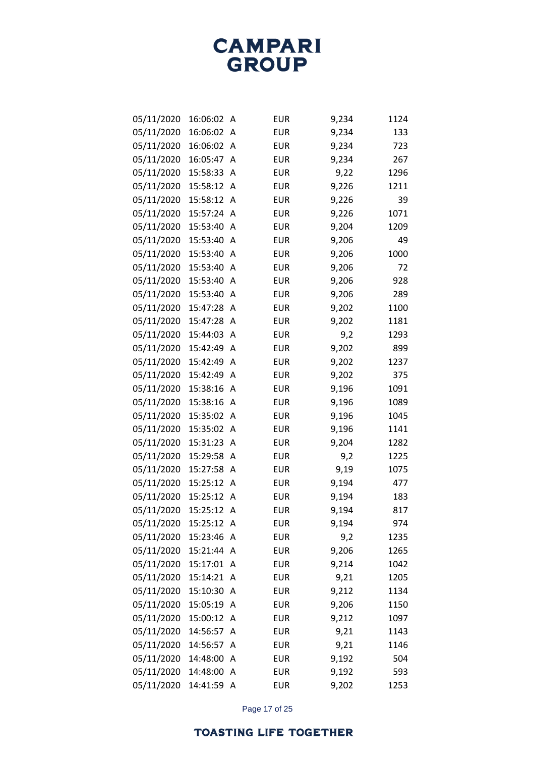| 05/11/2020 | 16:06:02 | Α                       | <b>EUR</b> | 9,234 | 1124 |
|------------|----------|-------------------------|------------|-------|------|
| 05/11/2020 | 16:06:02 | Α                       | <b>EUR</b> | 9,234 | 133  |
| 05/11/2020 | 16:06:02 | Α                       | <b>EUR</b> | 9,234 | 723  |
| 05/11/2020 | 16:05:47 | A                       | <b>EUR</b> | 9,234 | 267  |
| 05/11/2020 | 15:58:33 | Α                       | <b>EUR</b> | 9,22  | 1296 |
| 05/11/2020 | 15:58:12 | Α                       | <b>EUR</b> | 9,226 | 1211 |
| 05/11/2020 | 15:58:12 | A                       | <b>EUR</b> | 9,226 | 39   |
| 05/11/2020 | 15:57:24 | A                       | <b>EUR</b> | 9,226 | 1071 |
| 05/11/2020 | 15:53:40 | A                       | <b>EUR</b> | 9,204 | 1209 |
| 05/11/2020 | 15:53:40 | Α                       | <b>EUR</b> | 9,206 | 49   |
| 05/11/2020 | 15:53:40 | A                       | <b>EUR</b> | 9,206 | 1000 |
| 05/11/2020 | 15:53:40 | Α                       | <b>EUR</b> | 9,206 | 72   |
| 05/11/2020 | 15:53:40 | A                       | <b>EUR</b> | 9,206 | 928  |
| 05/11/2020 | 15:53:40 | Α                       | <b>EUR</b> | 9,206 | 289  |
| 05/11/2020 | 15:47:28 | A                       | <b>EUR</b> | 9,202 | 1100 |
| 05/11/2020 | 15:47:28 | Α                       | <b>EUR</b> | 9,202 | 1181 |
| 05/11/2020 | 15:44:03 | A                       | <b>EUR</b> | 9,2   | 1293 |
| 05/11/2020 | 15:42:49 | Α                       | <b>EUR</b> | 9,202 | 899  |
| 05/11/2020 | 15:42:49 | Α                       | <b>EUR</b> | 9,202 | 1237 |
| 05/11/2020 | 15:42:49 | Α                       | <b>EUR</b> | 9,202 | 375  |
| 05/11/2020 | 15:38:16 | A                       | <b>EUR</b> | 9,196 | 1091 |
| 05/11/2020 | 15:38:16 | Α                       | <b>EUR</b> | 9,196 | 1089 |
| 05/11/2020 | 15:35:02 | Α                       | <b>EUR</b> | 9,196 | 1045 |
| 05/11/2020 | 15:35:02 | Α                       | <b>EUR</b> | 9,196 | 1141 |
| 05/11/2020 | 15:31:23 | A                       | <b>EUR</b> | 9,204 | 1282 |
| 05/11/2020 | 15:29:58 | Α                       | <b>EUR</b> | 9,2   | 1225 |
| 05/11/2020 | 15:27:58 | A                       | <b>EUR</b> | 9,19  | 1075 |
| 05/11/2020 | 15:25:12 | Α                       | <b>EUR</b> | 9,194 | 477  |
| 05/11/2020 | 15:25:12 | A                       | <b>EUR</b> | 9,194 | 183  |
| 05/11/2020 | 15:25:12 | Α                       | <b>EUR</b> | 9,194 | 817  |
| 05/11/2020 | 15:25:12 | Α                       | <b>EUR</b> | 9,194 | 974  |
| 05/11/2020 | 15:23:46 | A                       | <b>EUR</b> | 9,2   | 1235 |
| 05/11/2020 | 15:21:44 | A                       | <b>EUR</b> | 9,206 | 1265 |
| 05/11/2020 | 15:17:01 | $\overline{\mathsf{A}}$ | <b>EUR</b> | 9,214 | 1042 |
| 05/11/2020 | 15:14:21 | A                       | <b>EUR</b> | 9,21  | 1205 |
| 05/11/2020 | 15:10:30 | A                       | <b>EUR</b> | 9,212 | 1134 |
| 05/11/2020 | 15:05:19 | A                       | <b>EUR</b> | 9,206 | 1150 |
| 05/11/2020 | 15:00:12 | Α                       | <b>EUR</b> | 9,212 | 1097 |
| 05/11/2020 | 14:56:57 | A                       | <b>EUR</b> | 9,21  | 1143 |
| 05/11/2020 | 14:56:57 | A                       | <b>EUR</b> | 9,21  | 1146 |
| 05/11/2020 | 14:48:00 | A                       | <b>EUR</b> | 9,192 | 504  |
| 05/11/2020 | 14:48:00 | Α                       | <b>EUR</b> | 9,192 | 593  |
| 05/11/2020 | 14:41:59 | A                       | <b>EUR</b> | 9,202 | 1253 |

Page 17 of 25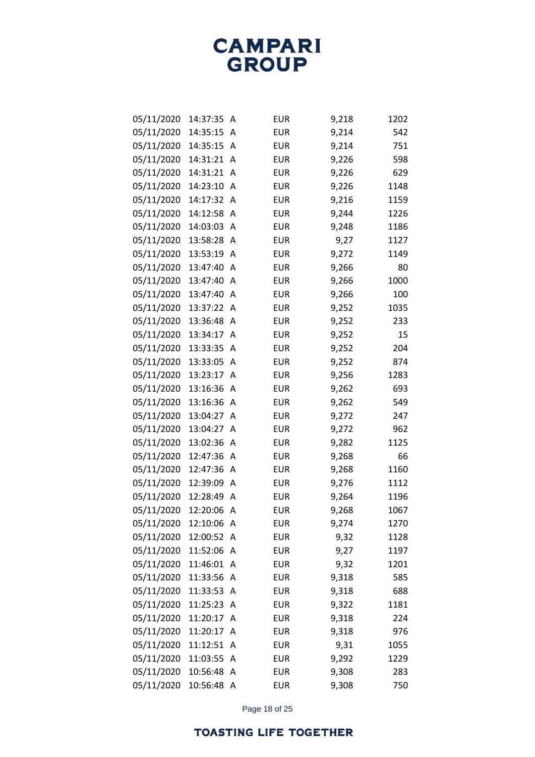| 05/11/2020 | 14:37:35 | Α | <b>EUR</b> | 9,218 | 1202 |
|------------|----------|---|------------|-------|------|
| 05/11/2020 | 14:35:15 | Α | <b>EUR</b> | 9,214 | 542  |
| 05/11/2020 | 14:35:15 | A | <b>EUR</b> | 9,214 | 751  |
| 05/11/2020 | 14:31:21 | Α | <b>EUR</b> | 9,226 | 598  |
| 05/11/2020 | 14:31:21 | Α | <b>EUR</b> | 9,226 | 629  |
| 05/11/2020 | 14:23:10 | Α | <b>EUR</b> | 9,226 | 1148 |
| 05/11/2020 | 14:17:32 | Α | <b>EUR</b> | 9,216 | 1159 |
| 05/11/2020 | 14:12:58 | Α | <b>EUR</b> | 9,244 | 1226 |
| 05/11/2020 | 14:03:03 | Α | <b>EUR</b> | 9,248 | 1186 |
| 05/11/2020 | 13:58:28 | Α | <b>EUR</b> | 9,27  | 1127 |
| 05/11/2020 | 13:53:19 | A | <b>EUR</b> | 9,272 | 1149 |
| 05/11/2020 | 13:47:40 | Α | <b>EUR</b> | 9,266 | 80   |
| 05/11/2020 | 13:47:40 | A | <b>EUR</b> | 9,266 | 1000 |
| 05/11/2020 | 13:47:40 | Α | <b>EUR</b> | 9,266 | 100  |
| 05/11/2020 | 13:37:22 | Α | <b>EUR</b> | 9,252 | 1035 |
| 05/11/2020 | 13:36:48 | Α | <b>EUR</b> | 9,252 | 233  |
| 05/11/2020 | 13:34:17 | A | <b>EUR</b> | 9,252 | 15   |
| 05/11/2020 | 13:33:35 | Α | <b>EUR</b> | 9,252 | 204  |
| 05/11/2020 | 13:33:05 | Α | <b>EUR</b> | 9,252 | 874  |
| 05/11/2020 | 13:23:17 | Α | <b>EUR</b> | 9,256 | 1283 |
| 05/11/2020 | 13:16:36 | Α | <b>EUR</b> | 9,262 | 693  |
| 05/11/2020 | 13:16:36 | Α | <b>EUR</b> | 9,262 | 549  |
| 05/11/2020 | 13:04:27 | Α | <b>EUR</b> | 9,272 | 247  |
| 05/11/2020 | 13:04:27 | Α | <b>EUR</b> | 9,272 | 962  |
| 05/11/2020 | 13:02:36 | Α | <b>EUR</b> | 9,282 | 1125 |
| 05/11/2020 | 12:47:36 | Α | <b>EUR</b> | 9,268 | 66   |
| 05/11/2020 | 12:47:36 | Α | <b>EUR</b> | 9,268 | 1160 |
| 05/11/2020 | 12:39:09 | Α | <b>EUR</b> | 9,276 | 1112 |
| 05/11/2020 | 12:28:49 | A | <b>EUR</b> | 9,264 | 1196 |
| 05/11/2020 | 12:20:06 | Α | <b>EUR</b> | 9,268 | 1067 |
| 05/11/2020 | 12:10:06 | Α | <b>EUR</b> | 9,274 | 1270 |
| 05/11/2020 | 12:00:52 | Α | <b>EUR</b> | 9,32  | 1128 |
| 05/11/2020 | 11:52:06 | Α | <b>EUR</b> | 9,27  | 1197 |
| 05/11/2020 | 11:46:01 | Α | <b>EUR</b> | 9,32  | 1201 |
| 05/11/2020 | 11:33:56 | Α | <b>EUR</b> | 9,318 | 585  |
| 05/11/2020 | 11:33:53 | Α | <b>EUR</b> | 9,318 | 688  |
| 05/11/2020 | 11:25:23 | Α | <b>EUR</b> | 9,322 | 1181 |
| 05/11/2020 | 11:20:17 | Α | <b>EUR</b> | 9,318 | 224  |
| 05/11/2020 | 11:20:17 | Α | <b>EUR</b> | 9,318 | 976  |
| 05/11/2020 | 11:12:51 | Α | <b>EUR</b> | 9,31  | 1055 |
| 05/11/2020 | 11:03:55 | Α | <b>EUR</b> | 9,292 | 1229 |
| 05/11/2020 | 10:56:48 | Α | <b>EUR</b> | 9,308 | 283  |
| 05/11/2020 | 10:56:48 | A | <b>EUR</b> | 9,308 | 750  |

Page 18 of 25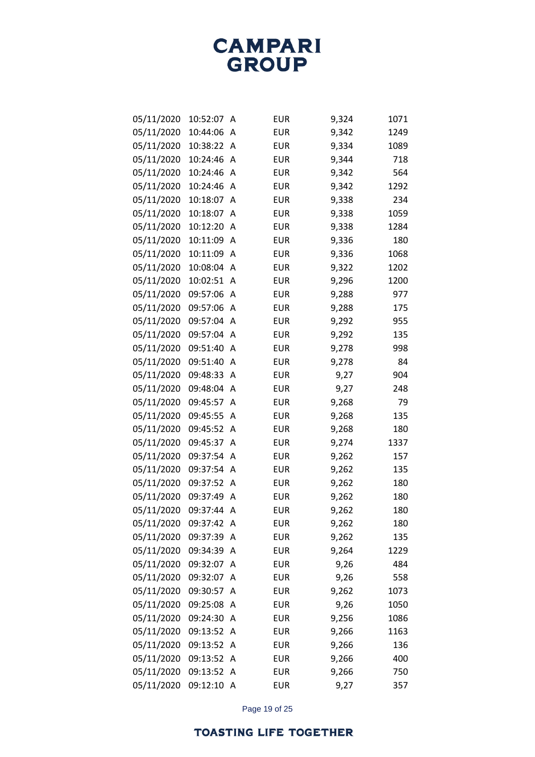| 05/11/2020 | 10:52:07 | Α | <b>EUR</b> | 9,324 | 1071 |
|------------|----------|---|------------|-------|------|
| 05/11/2020 | 10:44:06 | Α | <b>EUR</b> | 9,342 | 1249 |
| 05/11/2020 | 10:38:22 | Α | <b>EUR</b> | 9,334 | 1089 |
| 05/11/2020 | 10:24:46 | Α | <b>EUR</b> | 9,344 | 718  |
| 05/11/2020 | 10:24:46 | A | <b>EUR</b> | 9,342 | 564  |
| 05/11/2020 | 10:24:46 | Α | <b>EUR</b> | 9,342 | 1292 |
| 05/11/2020 | 10:18:07 | Α | <b>EUR</b> | 9,338 | 234  |
| 05/11/2020 | 10:18:07 | Α | <b>EUR</b> | 9,338 | 1059 |
| 05/11/2020 | 10:12:20 | A | <b>EUR</b> | 9,338 | 1284 |
| 05/11/2020 | 10:11:09 | Α | <b>EUR</b> | 9,336 | 180  |
| 05/11/2020 | 10:11:09 | A | <b>EUR</b> | 9,336 | 1068 |
| 05/11/2020 | 10:08:04 | Α | <b>EUR</b> | 9,322 | 1202 |
| 05/11/2020 | 10:02:51 | Α | <b>EUR</b> | 9,296 | 1200 |
| 05/11/2020 | 09:57:06 | Α | <b>EUR</b> | 9,288 | 977  |
| 05/11/2020 | 09:57:06 | Α | <b>EUR</b> | 9,288 | 175  |
| 05/11/2020 | 09:57:04 | Α | <b>EUR</b> | 9,292 | 955  |
| 05/11/2020 | 09:57:04 | A | <b>EUR</b> | 9,292 | 135  |
| 05/11/2020 | 09:51:40 | Α | <b>EUR</b> | 9,278 | 998  |
| 05/11/2020 | 09:51:40 | Α | <b>EUR</b> | 9,278 | 84   |
| 05/11/2020 | 09:48:33 | Α | <b>EUR</b> | 9,27  | 904  |
| 05/11/2020 | 09:48:04 | Α | <b>EUR</b> | 9,27  | 248  |
| 05/11/2020 | 09:45:57 | Α | <b>EUR</b> | 9,268 | 79   |
| 05/11/2020 | 09:45:55 | Α | <b>EUR</b> | 9,268 | 135  |
| 05/11/2020 | 09:45:52 | Α | <b>EUR</b> | 9,268 | 180  |
| 05/11/2020 | 09:45:37 | Α | <b>EUR</b> | 9,274 | 1337 |
| 05/11/2020 | 09:37:54 | Α | <b>EUR</b> | 9,262 | 157  |
| 05/11/2020 | 09:37:54 | Α | <b>EUR</b> | 9,262 | 135  |
| 05/11/2020 | 09:37:52 | Α | <b>EUR</b> | 9,262 | 180  |
| 05/11/2020 | 09:37:49 | A | <b>EUR</b> | 9,262 | 180  |
| 05/11/2020 | 09:37:44 | Α | <b>EUR</b> | 9,262 | 180  |
| 05/11/2020 | 09:37:42 | Α | <b>EUR</b> | 9,262 | 180  |
| 05/11/2020 | 09:37:39 | Α | <b>EUR</b> | 9,262 | 135  |
| 05/11/2020 | 09:34:39 | Α | <b>EUR</b> | 9,264 | 1229 |
| 05/11/2020 | 09:32:07 | Α | <b>EUR</b> | 9,26  | 484  |
| 05/11/2020 | 09:32:07 | Α | <b>EUR</b> | 9,26  | 558  |
| 05/11/2020 | 09:30:57 | Α | <b>EUR</b> | 9,262 | 1073 |
| 05/11/2020 | 09:25:08 | Α | <b>EUR</b> | 9,26  | 1050 |
| 05/11/2020 | 09:24:30 | Α | <b>EUR</b> | 9,256 | 1086 |
| 05/11/2020 | 09:13:52 | Α | <b>EUR</b> | 9,266 | 1163 |
| 05/11/2020 | 09:13:52 | Α | <b>EUR</b> | 9,266 | 136  |
| 05/11/2020 | 09:13:52 | Α | <b>EUR</b> | 9,266 | 400  |
| 05/11/2020 | 09:13:52 | Α | <b>EUR</b> | 9,266 | 750  |
| 05/11/2020 | 09:12:10 | A | <b>EUR</b> | 9,27  | 357  |

Page 19 of 25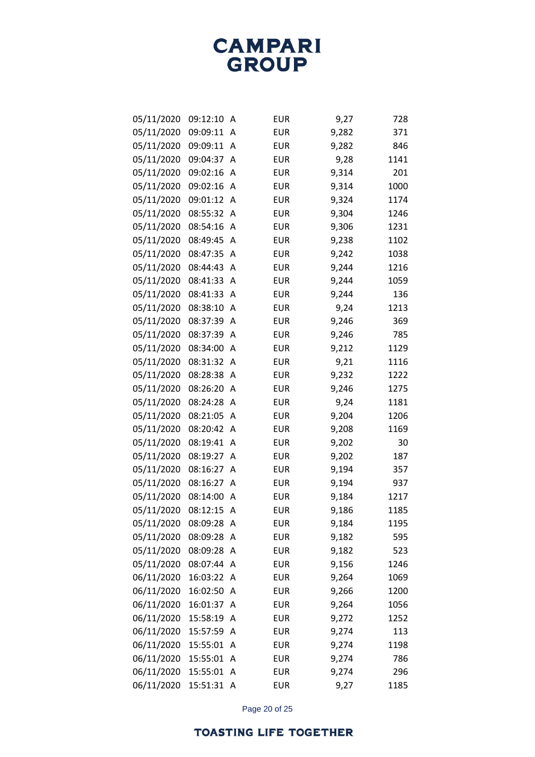| 05/11/2020 | 09:12:10 | Α | <b>EUR</b> | 9,27  | 728  |
|------------|----------|---|------------|-------|------|
| 05/11/2020 | 09:09:11 | Α | <b>EUR</b> | 9,282 | 371  |
| 05/11/2020 | 09:09:11 | Α | <b>EUR</b> | 9,282 | 846  |
| 05/11/2020 | 09:04:37 | Α | <b>EUR</b> | 9,28  | 1141 |
| 05/11/2020 | 09:02:16 | Α | <b>EUR</b> | 9,314 | 201  |
| 05/11/2020 | 09:02:16 | Α | <b>EUR</b> | 9,314 | 1000 |
| 05/11/2020 | 09:01:12 | Α | <b>EUR</b> | 9,324 | 1174 |
| 05/11/2020 | 08:55:32 | Α | <b>EUR</b> | 9,304 | 1246 |
| 05/11/2020 | 08:54:16 | Α | <b>EUR</b> | 9,306 | 1231 |
| 05/11/2020 | 08:49:45 | Α | <b>EUR</b> | 9,238 | 1102 |
| 05/11/2020 | 08:47:35 | Α | <b>EUR</b> | 9,242 | 1038 |
| 05/11/2020 | 08:44:43 | Α | <b>EUR</b> | 9,244 | 1216 |
| 05/11/2020 | 08:41:33 | Α | <b>EUR</b> | 9,244 | 1059 |
| 05/11/2020 | 08:41:33 | A | <b>EUR</b> | 9,244 | 136  |
| 05/11/2020 | 08:38:10 | Α | <b>EUR</b> | 9,24  | 1213 |
| 05/11/2020 | 08:37:39 | Α | <b>EUR</b> | 9,246 | 369  |
| 05/11/2020 | 08:37:39 | Α | <b>EUR</b> | 9,246 | 785  |
| 05/11/2020 | 08:34:00 | Α | <b>EUR</b> | 9,212 | 1129 |
| 05/11/2020 | 08:31:32 | Α | <b>EUR</b> | 9,21  | 1116 |
| 05/11/2020 | 08:28:38 | Α | <b>EUR</b> | 9,232 | 1222 |
| 05/11/2020 | 08:26:20 | Α | <b>EUR</b> | 9,246 | 1275 |
| 05/11/2020 | 08:24:28 | Α | <b>EUR</b> | 9,24  | 1181 |
| 05/11/2020 | 08:21:05 | Α | <b>EUR</b> | 9,204 | 1206 |
| 05/11/2020 | 08:20:42 | Α | <b>EUR</b> | 9,208 | 1169 |
| 05/11/2020 | 08:19:41 | Α | <b>EUR</b> | 9,202 | 30   |
| 05/11/2020 | 08:19:27 | Α | <b>EUR</b> | 9,202 | 187  |
| 05/11/2020 | 08:16:27 | Α | <b>EUR</b> | 9,194 | 357  |
| 05/11/2020 | 08:16:27 | A | <b>EUR</b> | 9,194 | 937  |
| 05/11/2020 | 08:14:00 | Α | <b>EUR</b> | 9,184 | 1217 |
| 05/11/2020 | 08:12:15 | Α | <b>EUR</b> | 9,186 | 1185 |
| 05/11/2020 | 08:09:28 | A | <b>EUR</b> | 9,184 | 1195 |
| 05/11/2020 | 08:09:28 | Α | <b>EUR</b> | 9,182 | 595  |
| 05/11/2020 | 08:09:28 | Α | <b>EUR</b> | 9,182 | 523  |
| 05/11/2020 | 08:07:44 | Α | <b>EUR</b> | 9,156 | 1246 |
| 06/11/2020 | 16:03:22 | Α | <b>EUR</b> | 9,264 | 1069 |
| 06/11/2020 | 16:02:50 | Α | <b>EUR</b> | 9,266 | 1200 |
| 06/11/2020 | 16:01:37 | Α | <b>EUR</b> | 9,264 | 1056 |
| 06/11/2020 | 15:58:19 | Α | <b>EUR</b> | 9,272 | 1252 |
| 06/11/2020 | 15:57:59 | Α | <b>EUR</b> | 9,274 | 113  |
| 06/11/2020 | 15:55:01 | Α | <b>EUR</b> | 9,274 | 1198 |
| 06/11/2020 | 15:55:01 | Α | <b>EUR</b> | 9,274 | 786  |
| 06/11/2020 | 15:55:01 | Α | <b>EUR</b> | 9,274 | 296  |
| 06/11/2020 | 15:51:31 | A | <b>EUR</b> | 9,27  | 1185 |

Page 20 of 25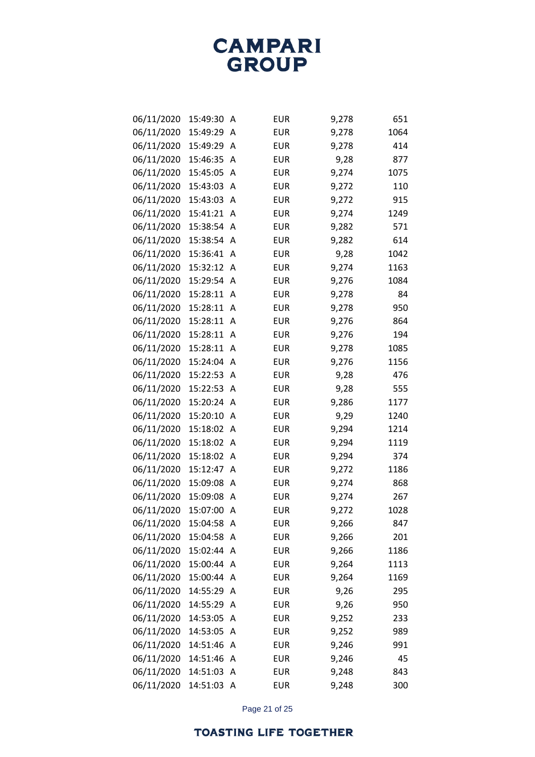| 06/11/2020 | 15:49:30 | Α | <b>EUR</b> | 9,278 | 651  |
|------------|----------|---|------------|-------|------|
| 06/11/2020 | 15:49:29 | A | <b>EUR</b> | 9,278 | 1064 |
| 06/11/2020 | 15:49:29 | A | <b>EUR</b> | 9,278 | 414  |
| 06/11/2020 | 15:46:35 | Α | <b>EUR</b> | 9,28  | 877  |
| 06/11/2020 | 15:45:05 | A | <b>EUR</b> | 9,274 | 1075 |
| 06/11/2020 | 15:43:03 | Α | <b>EUR</b> | 9,272 | 110  |
| 06/11/2020 | 15:43:03 | A | <b>EUR</b> | 9,272 | 915  |
| 06/11/2020 | 15:41:21 | A | <b>EUR</b> | 9,274 | 1249 |
| 06/11/2020 | 15:38:54 | A | <b>EUR</b> | 9,282 | 571  |
| 06/11/2020 | 15:38:54 | A | <b>EUR</b> | 9,282 | 614  |
| 06/11/2020 | 15:36:41 | A | <b>EUR</b> | 9,28  | 1042 |
| 06/11/2020 | 15:32:12 | A | <b>EUR</b> | 9,274 | 1163 |
| 06/11/2020 | 15:29:54 | A | <b>EUR</b> | 9,276 | 1084 |
| 06/11/2020 | 15:28:11 | A | <b>EUR</b> | 9,278 | 84   |
| 06/11/2020 | 15:28:11 | A | <b>EUR</b> | 9,278 | 950  |
| 06/11/2020 | 15:28:11 | A | <b>EUR</b> | 9,276 | 864  |
| 06/11/2020 | 15:28:11 | A | <b>EUR</b> | 9,276 | 194  |
| 06/11/2020 | 15:28:11 | Α | <b>EUR</b> | 9,278 | 1085 |
| 06/11/2020 | 15:24:04 | A | <b>EUR</b> | 9,276 | 1156 |
| 06/11/2020 | 15:22:53 | Α | <b>EUR</b> | 9,28  | 476  |
| 06/11/2020 | 15:22:53 | A | <b>EUR</b> | 9,28  | 555  |
| 06/11/2020 | 15:20:24 | Α | <b>EUR</b> | 9,286 | 1177 |
| 06/11/2020 | 15:20:10 | A | <b>EUR</b> | 9,29  | 1240 |
| 06/11/2020 | 15:18:02 | Α | <b>EUR</b> | 9,294 | 1214 |
| 06/11/2020 | 15:18:02 | Α | <b>EUR</b> | 9,294 | 1119 |
| 06/11/2020 | 15:18:02 | Α | <b>EUR</b> | 9,294 | 374  |
| 06/11/2020 | 15:12:47 | A | <b>EUR</b> | 9,272 | 1186 |
| 06/11/2020 | 15:09:08 | Α | <b>EUR</b> | 9,274 | 868  |
| 06/11/2020 | 15:09:08 | A | <b>EUR</b> | 9,274 | 267  |
| 06/11/2020 | 15:07:00 | A | <b>EUR</b> | 9,272 | 1028 |
| 06/11/2020 | 15:04:58 | A | <b>EUR</b> | 9,266 | 847  |
| 06/11/2020 | 15:04:58 | Α | EUR        | 9,266 | 201  |
| 06/11/2020 | 15:02:44 | Α | <b>EUR</b> | 9,266 | 1186 |
| 06/11/2020 | 15:00:44 | Α | <b>EUR</b> | 9,264 | 1113 |
| 06/11/2020 | 15:00:44 | Α | <b>EUR</b> | 9,264 | 1169 |
| 06/11/2020 | 14:55:29 | Α | <b>EUR</b> | 9,26  | 295  |
| 06/11/2020 | 14:55:29 | Α | <b>EUR</b> | 9,26  | 950  |
| 06/11/2020 | 14:53:05 | Α | EUR        | 9,252 | 233  |
| 06/11/2020 | 14:53:05 | Α | <b>EUR</b> | 9,252 | 989  |
| 06/11/2020 | 14:51:46 | Α | EUR        | 9,246 | 991  |
| 06/11/2020 | 14:51:46 | Α | <b>EUR</b> | 9,246 | 45   |
| 06/11/2020 | 14:51:03 | Α | EUR        | 9,248 | 843  |
| 06/11/2020 | 14:51:03 | A | EUR        | 9,248 | 300  |

Page 21 of 25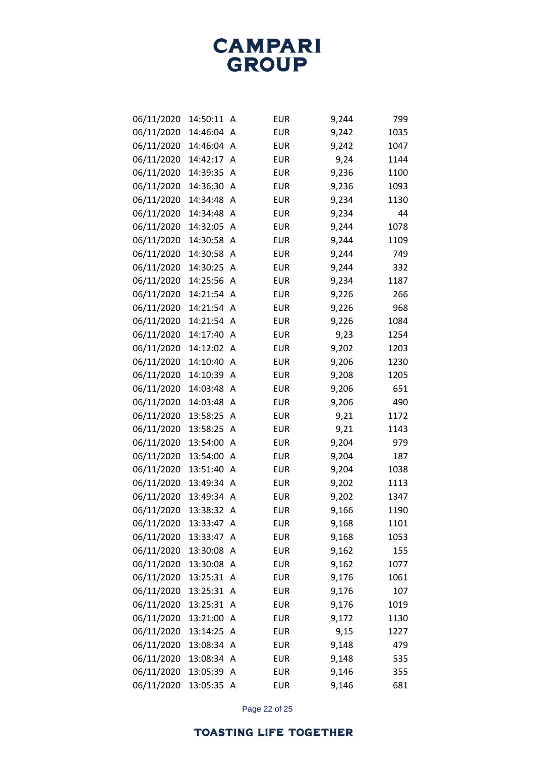| 06/11/2020 | 14:50:11 | Α | <b>EUR</b> | 9,244 | 799  |
|------------|----------|---|------------|-------|------|
| 06/11/2020 | 14:46:04 | Α | <b>EUR</b> | 9,242 | 1035 |
| 06/11/2020 | 14:46:04 | Α | <b>EUR</b> | 9,242 | 1047 |
| 06/11/2020 | 14:42:17 | Α | <b>EUR</b> | 9,24  | 1144 |
| 06/11/2020 | 14:39:35 | Α | <b>EUR</b> | 9,236 | 1100 |
| 06/11/2020 | 14:36:30 | A | <b>EUR</b> | 9,236 | 1093 |
| 06/11/2020 | 14:34:48 | Α | <b>EUR</b> | 9,234 | 1130 |
| 06/11/2020 | 14:34:48 | A | <b>EUR</b> | 9,234 | 44   |
| 06/11/2020 | 14:32:05 | Α | <b>EUR</b> | 9,244 | 1078 |
| 06/11/2020 | 14:30:58 | A | <b>EUR</b> | 9,244 | 1109 |
| 06/11/2020 | 14:30:58 | A | <b>EUR</b> | 9,244 | 749  |
| 06/11/2020 | 14:30:25 | A | <b>EUR</b> | 9,244 | 332  |
| 06/11/2020 | 14:25:56 | A | <b>EUR</b> | 9,234 | 1187 |
| 06/11/2020 | 14:21:54 | Α | <b>EUR</b> | 9,226 | 266  |
| 06/11/2020 | 14:21:54 | Α | <b>EUR</b> | 9,226 | 968  |
| 06/11/2020 | 14:21:54 | A | <b>EUR</b> | 9,226 | 1084 |
| 06/11/2020 | 14:17:40 | Α | <b>EUR</b> | 9,23  | 1254 |
| 06/11/2020 | 14:12:02 | Α | <b>EUR</b> | 9,202 | 1203 |
| 06/11/2020 | 14:10:40 | A | <b>EUR</b> | 9,206 | 1230 |
| 06/11/2020 | 14:10:39 | A | <b>EUR</b> | 9,208 | 1205 |
| 06/11/2020 | 14:03:48 | Α | <b>EUR</b> | 9,206 | 651  |
| 06/11/2020 | 14:03:48 | Α | <b>EUR</b> | 9,206 | 490  |
| 06/11/2020 | 13:58:25 | A | <b>EUR</b> | 9,21  | 1172 |
| 06/11/2020 | 13:58:25 | A | <b>EUR</b> | 9,21  | 1143 |
| 06/11/2020 | 13:54:00 | Α | <b>EUR</b> | 9,204 | 979  |
| 06/11/2020 | 13:54:00 | Α | <b>EUR</b> | 9,204 | 187  |
| 06/11/2020 | 13:51:40 | Α | <b>EUR</b> | 9,204 | 1038 |
| 06/11/2020 | 13:49:34 | A | <b>EUR</b> | 9,202 | 1113 |
| 06/11/2020 | 13:49:34 | A | <b>EUR</b> | 9,202 | 1347 |
| 06/11/2020 | 13:38:32 | Α | <b>EUR</b> | 9,166 | 1190 |
| 06/11/2020 | 13:33:47 | Α | <b>EUR</b> | 9,168 | 1101 |
| 06/11/2020 | 13:33:47 | A | <b>EUR</b> | 9,168 | 1053 |
| 06/11/2020 | 13:30:08 | A | <b>EUR</b> | 9,162 | 155  |
| 06/11/2020 | 13:30:08 | Α | <b>EUR</b> | 9,162 | 1077 |
| 06/11/2020 | 13:25:31 | Α | <b>EUR</b> | 9,176 | 1061 |
| 06/11/2020 | 13:25:31 | A | <b>EUR</b> | 9,176 | 107  |
| 06/11/2020 | 13:25:31 | A | <b>EUR</b> | 9,176 | 1019 |
| 06/11/2020 | 13:21:00 | A | <b>EUR</b> | 9,172 | 1130 |
| 06/11/2020 | 13:14:25 | A | <b>EUR</b> | 9,15  | 1227 |
| 06/11/2020 | 13:08:34 | A | <b>EUR</b> | 9,148 | 479  |
| 06/11/2020 | 13:08:34 | A | <b>EUR</b> | 9,148 | 535  |
| 06/11/2020 | 13:05:39 | A | <b>EUR</b> | 9,146 | 355  |
| 06/11/2020 | 13:05:35 | A | <b>EUR</b> | 9,146 | 681  |

Page 22 of 25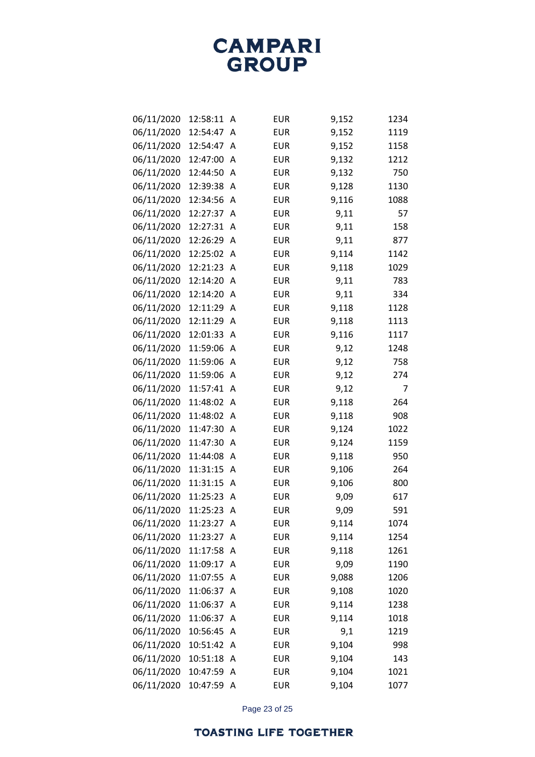| 06/11/2020 | 12:58:11 | Α | <b>EUR</b> | 9,152 | 1234 |
|------------|----------|---|------------|-------|------|
| 06/11/2020 | 12:54:47 | A | <b>EUR</b> | 9,152 | 1119 |
| 06/11/2020 | 12:54:47 | Α | <b>EUR</b> | 9,152 | 1158 |
| 06/11/2020 | 12:47:00 | A | <b>EUR</b> | 9,132 | 1212 |
| 06/11/2020 | 12:44:50 | A | <b>EUR</b> | 9,132 | 750  |
| 06/11/2020 | 12:39:38 | Α | <b>EUR</b> | 9,128 | 1130 |
| 06/11/2020 | 12:34:56 | A | <b>EUR</b> | 9,116 | 1088 |
| 06/11/2020 | 12:27:37 | A | <b>EUR</b> | 9,11  | 57   |
| 06/11/2020 | 12:27:31 | A | <b>EUR</b> | 9,11  | 158  |
| 06/11/2020 | 12:26:29 | Α | <b>EUR</b> | 9,11  | 877  |
| 06/11/2020 | 12:25:02 | A | <b>EUR</b> | 9,114 | 1142 |
| 06/11/2020 | 12:21:23 | Α | <b>EUR</b> | 9,118 | 1029 |
| 06/11/2020 | 12:14:20 | A | <b>EUR</b> | 9,11  | 783  |
| 06/11/2020 | 12:14:20 | A | <b>EUR</b> | 9,11  | 334  |
| 06/11/2020 | 12:11:29 | A | <b>EUR</b> | 9,118 | 1128 |
| 06/11/2020 | 12:11:29 | A | <b>EUR</b> | 9,118 | 1113 |
| 06/11/2020 | 12:01:33 | A | <b>EUR</b> | 9,116 | 1117 |
| 06/11/2020 | 11:59:06 | Α | <b>EUR</b> | 9,12  | 1248 |
| 06/11/2020 | 11:59:06 | A | <b>EUR</b> | 9,12  | 758  |
| 06/11/2020 | 11:59:06 | Α | <b>EUR</b> | 9,12  | 274  |
| 06/11/2020 | 11:57:41 | A | <b>EUR</b> | 9,12  | 7    |
| 06/11/2020 | 11:48:02 | Α | <b>EUR</b> | 9,118 | 264  |
| 06/11/2020 | 11:48:02 | A | <b>EUR</b> | 9,118 | 908  |
| 06/11/2020 | 11:47:30 | A | <b>EUR</b> | 9,124 | 1022 |
| 06/11/2020 | 11:47:30 | A | <b>EUR</b> | 9,124 | 1159 |
| 06/11/2020 | 11:44:08 | Α | <b>EUR</b> | 9,118 | 950  |
| 06/11/2020 | 11:31:15 | A | <b>EUR</b> | 9,106 | 264  |
| 06/11/2020 | 11:31:15 | Α | <b>EUR</b> | 9,106 | 800  |
| 06/11/2020 | 11:25:23 | A | <b>EUR</b> | 9,09  | 617  |
| 06/11/2020 | 11:25:23 | Α | <b>EUR</b> | 9,09  | 591  |
| 06/11/2020 | 11:23:27 | A | <b>EUR</b> | 9,114 | 1074 |
| 06/11/2020 | 11:23:27 | A | <b>EUR</b> | 9,114 | 1254 |
| 06/11/2020 | 11:17:58 | Α | <b>EUR</b> | 9,118 | 1261 |
| 06/11/2020 | 11:09:17 | A | <b>EUR</b> | 9,09  | 1190 |
| 06/11/2020 | 11:07:55 | Α | <b>EUR</b> | 9,088 | 1206 |
| 06/11/2020 | 11:06:37 | A | <b>EUR</b> | 9,108 | 1020 |
| 06/11/2020 | 11:06:37 | Α | <b>EUR</b> | 9,114 | 1238 |
| 06/11/2020 | 11:06:37 | Α | <b>EUR</b> | 9,114 | 1018 |
| 06/11/2020 | 10:56:45 | Α | <b>EUR</b> | 9,1   | 1219 |
| 06/11/2020 | 10:51:42 | A | <b>EUR</b> | 9,104 | 998  |
| 06/11/2020 | 10:51:18 | Α | <b>EUR</b> | 9,104 | 143  |
| 06/11/2020 | 10:47:59 | Α | <b>EUR</b> | 9,104 | 1021 |
| 06/11/2020 | 10:47:59 | A | <b>EUR</b> | 9,104 | 1077 |

Page 23 of 25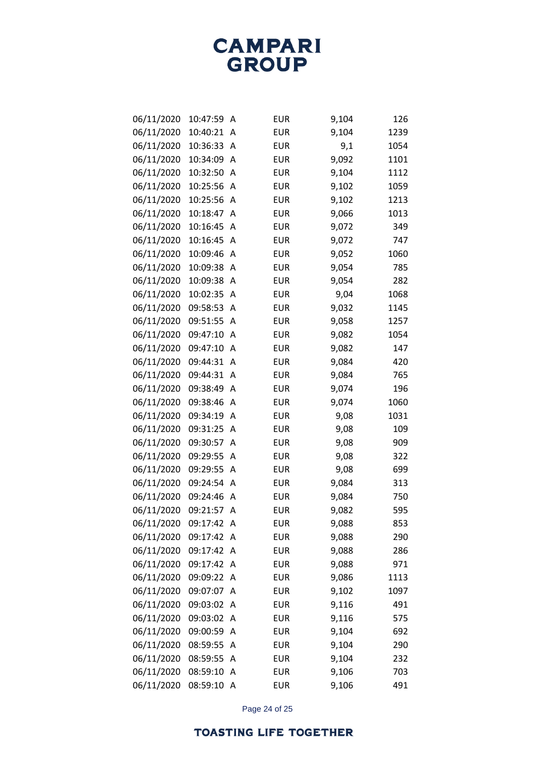| 06/11/2020 | 10:47:59 | Α | <b>EUR</b> | 9,104 | 126  |
|------------|----------|---|------------|-------|------|
| 06/11/2020 | 10:40:21 | Α | <b>EUR</b> | 9,104 | 1239 |
| 06/11/2020 | 10:36:33 | Α | <b>EUR</b> | 9,1   | 1054 |
| 06/11/2020 | 10:34:09 | Α | <b>EUR</b> | 9,092 | 1101 |
| 06/11/2020 | 10:32:50 | Α | <b>EUR</b> | 9,104 | 1112 |
| 06/11/2020 | 10:25:56 | A | <b>EUR</b> | 9,102 | 1059 |
| 06/11/2020 | 10:25:56 | Α | <b>EUR</b> | 9,102 | 1213 |
| 06/11/2020 | 10:18:47 | Α | <b>EUR</b> | 9,066 | 1013 |
| 06/11/2020 | 10:16:45 | Α | <b>EUR</b> | 9,072 | 349  |
| 06/11/2020 | 10:16:45 | A | <b>EUR</b> | 9,072 | 747  |
| 06/11/2020 | 10:09:46 | Α | <b>EUR</b> | 9,052 | 1060 |
| 06/11/2020 | 10:09:38 | Α | <b>EUR</b> | 9,054 | 785  |
| 06/11/2020 | 10:09:38 | Α | <b>EUR</b> | 9,054 | 282  |
| 06/11/2020 | 10:02:35 | Α | <b>EUR</b> | 9,04  | 1068 |
| 06/11/2020 | 09:58:53 | Α | <b>EUR</b> | 9,032 | 1145 |
| 06/11/2020 | 09:51:55 | A | <b>EUR</b> | 9,058 | 1257 |
| 06/11/2020 | 09:47:10 | Α | <b>EUR</b> | 9,082 | 1054 |
| 06/11/2020 | 09:47:10 | Α | <b>EUR</b> | 9,082 | 147  |
| 06/11/2020 | 09:44:31 | Α | <b>EUR</b> | 9,084 | 420  |
| 06/11/2020 | 09:44:31 | Α | <b>EUR</b> | 9,084 | 765  |
| 06/11/2020 | 09:38:49 | Α | <b>EUR</b> | 9,074 | 196  |
| 06/11/2020 | 09:38:46 | Α | <b>EUR</b> | 9,074 | 1060 |
| 06/11/2020 | 09:34:19 | Α | <b>EUR</b> | 9,08  | 1031 |
| 06/11/2020 | 09:31:25 | A | <b>EUR</b> | 9,08  | 109  |
| 06/11/2020 | 09:30:57 | Α | <b>EUR</b> | 9,08  | 909  |
| 06/11/2020 | 09:29:55 | Α | <b>EUR</b> | 9,08  | 322  |
| 06/11/2020 | 09:29:55 | Α | <b>EUR</b> | 9,08  | 699  |
| 06/11/2020 | 09:24:54 | A | <b>EUR</b> | 9,084 | 313  |
| 06/11/2020 | 09:24:46 | Α | <b>EUR</b> | 9,084 | 750  |
| 06/11/2020 | 09:21:57 | Α | <b>EUR</b> | 9,082 | 595  |
| 06/11/2020 | 09:17:42 | A | <b>EUR</b> | 9,088 | 853  |
| 06/11/2020 | 09:17:42 | Α | <b>EUR</b> | 9,088 | 290  |
| 06/11/2020 | 09:17:42 | Α | <b>EUR</b> | 9,088 | 286  |
| 06/11/2020 | 09:17:42 | Α | <b>EUR</b> | 9,088 | 971  |
| 06/11/2020 | 09:09:22 | Α | <b>EUR</b> | 9,086 | 1113 |
| 06/11/2020 | 09:07:07 | Α | <b>EUR</b> | 9,102 | 1097 |
| 06/11/2020 | 09:03:02 | A | <b>EUR</b> | 9,116 | 491  |
| 06/11/2020 | 09:03:02 | Α | <b>EUR</b> | 9,116 | 575  |
| 06/11/2020 | 09:00:59 | Α | <b>EUR</b> | 9,104 | 692  |
| 06/11/2020 | 08:59:55 | Α | <b>EUR</b> | 9,104 | 290  |
| 06/11/2020 | 08:59:55 | A | <b>EUR</b> | 9,104 | 232  |
| 06/11/2020 | 08:59:10 | Α | <b>EUR</b> | 9,106 | 703  |
| 06/11/2020 | 08:59:10 | A | EUR        | 9,106 | 491  |

Page 24 of 25